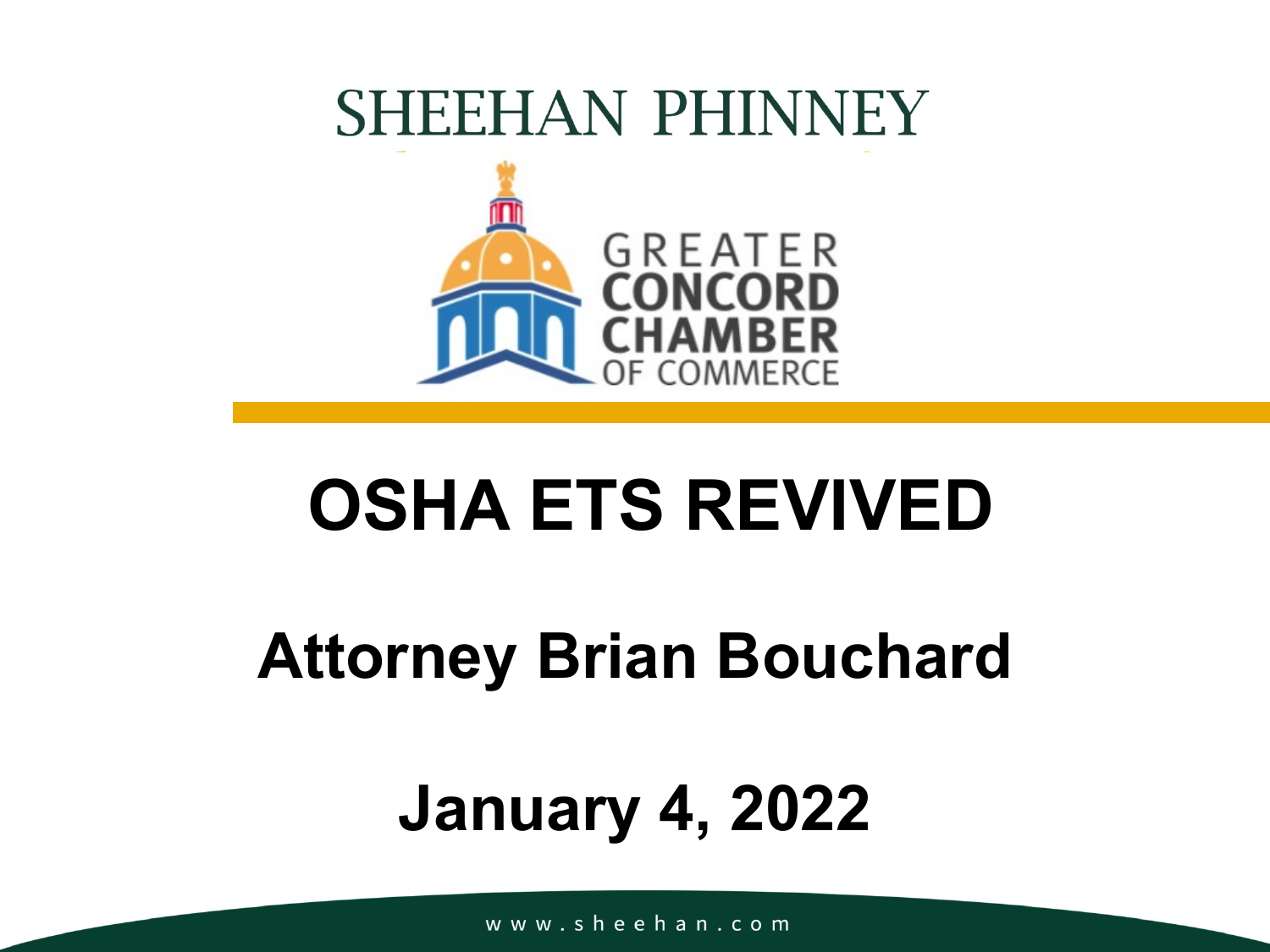### **SHEEHAN PHINNEY**



### **OSHA ETS REVIVED**

### **Attorney Brian Bouchard**

### **January 4, 2022**

www.sheehan.com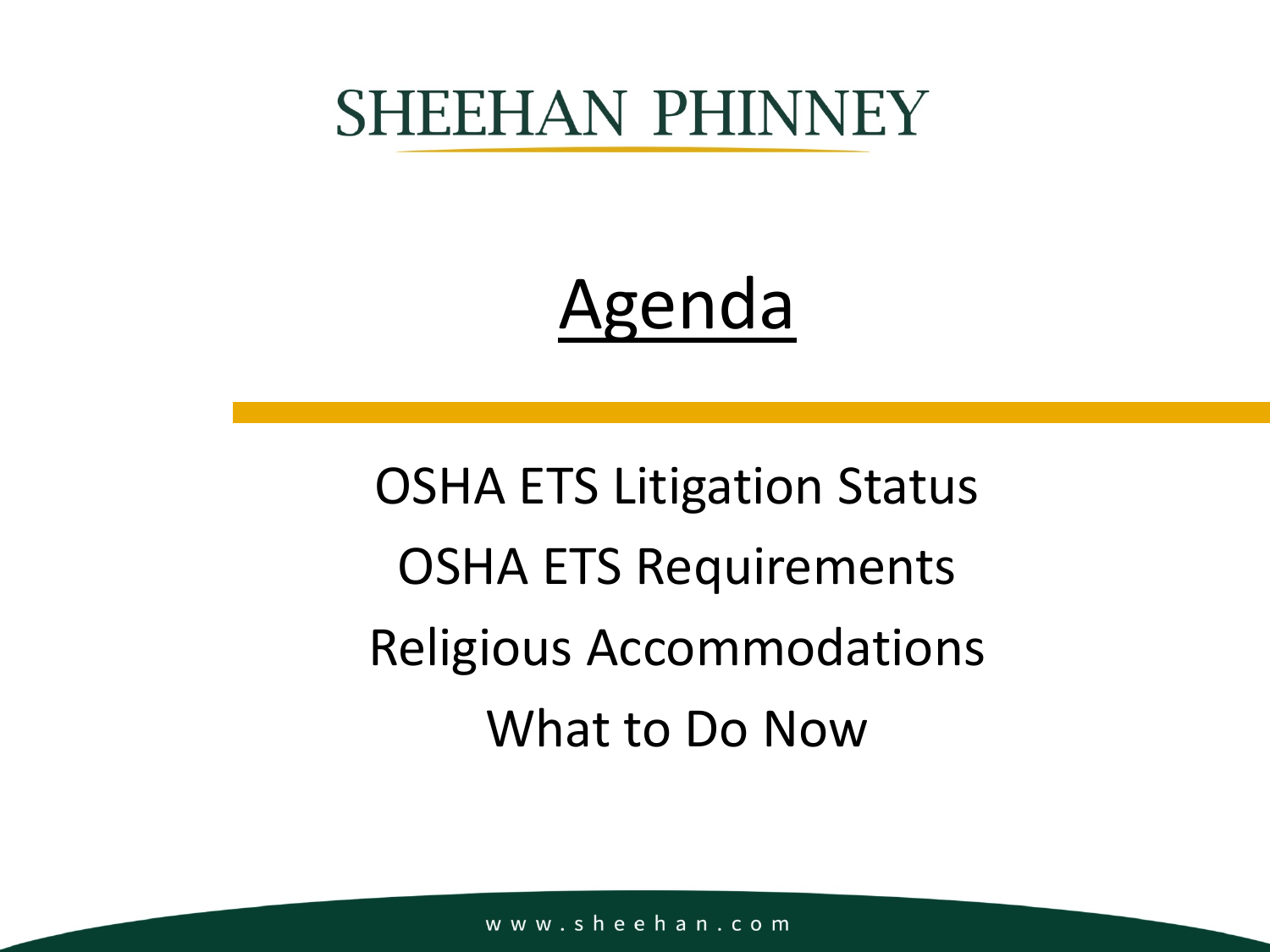### **SHEEHAN PHINNEY**

### Agenda

OSHA ETS Litigation Status OSHA ETS Requirements Religious Accommodations What to Do Now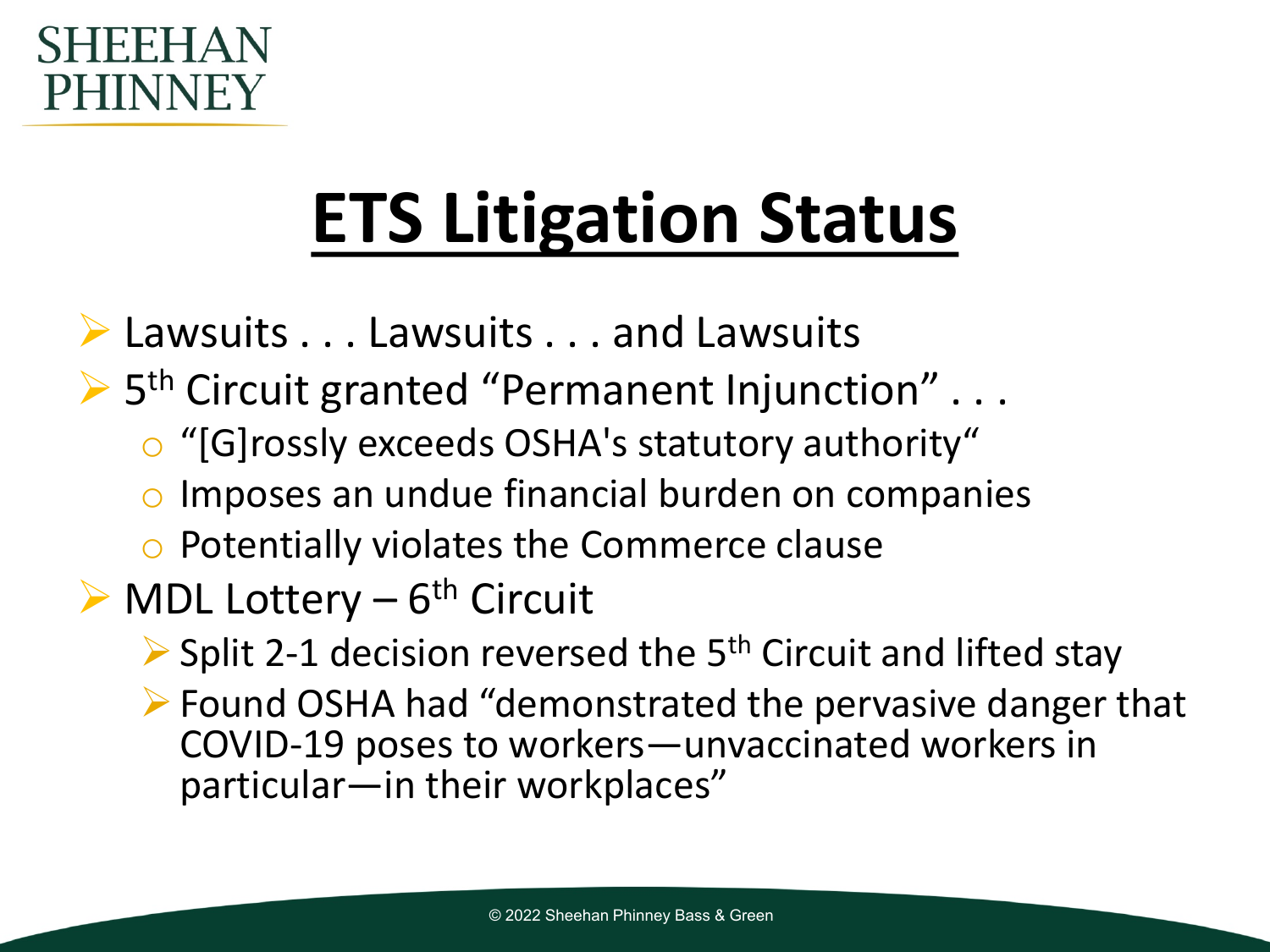#### FF. PHINNEY

## **ETS Litigation Status**

- ▶ Lawsuits . . . Lawsuits . . . and Lawsuits
- $\triangleright$  5<sup>th</sup> Circuit granted "Permanent Injunction" ...
	- o "[G]rossly exceeds OSHA's statutory authority"
	- o Imposes an undue financial burden on companies
	- o Potentially violates the Commerce clause
- $\triangleright$  MDL Lottery 6<sup>th</sup> Circuit
	- $\triangleright$  Split 2-1 decision reversed the 5<sup>th</sup> Circuit and lifted stay
	- Found OSHA had "demonstrated the pervasive danger that COVID-19 poses to workers—unvaccinated workers in particular—in their workplaces"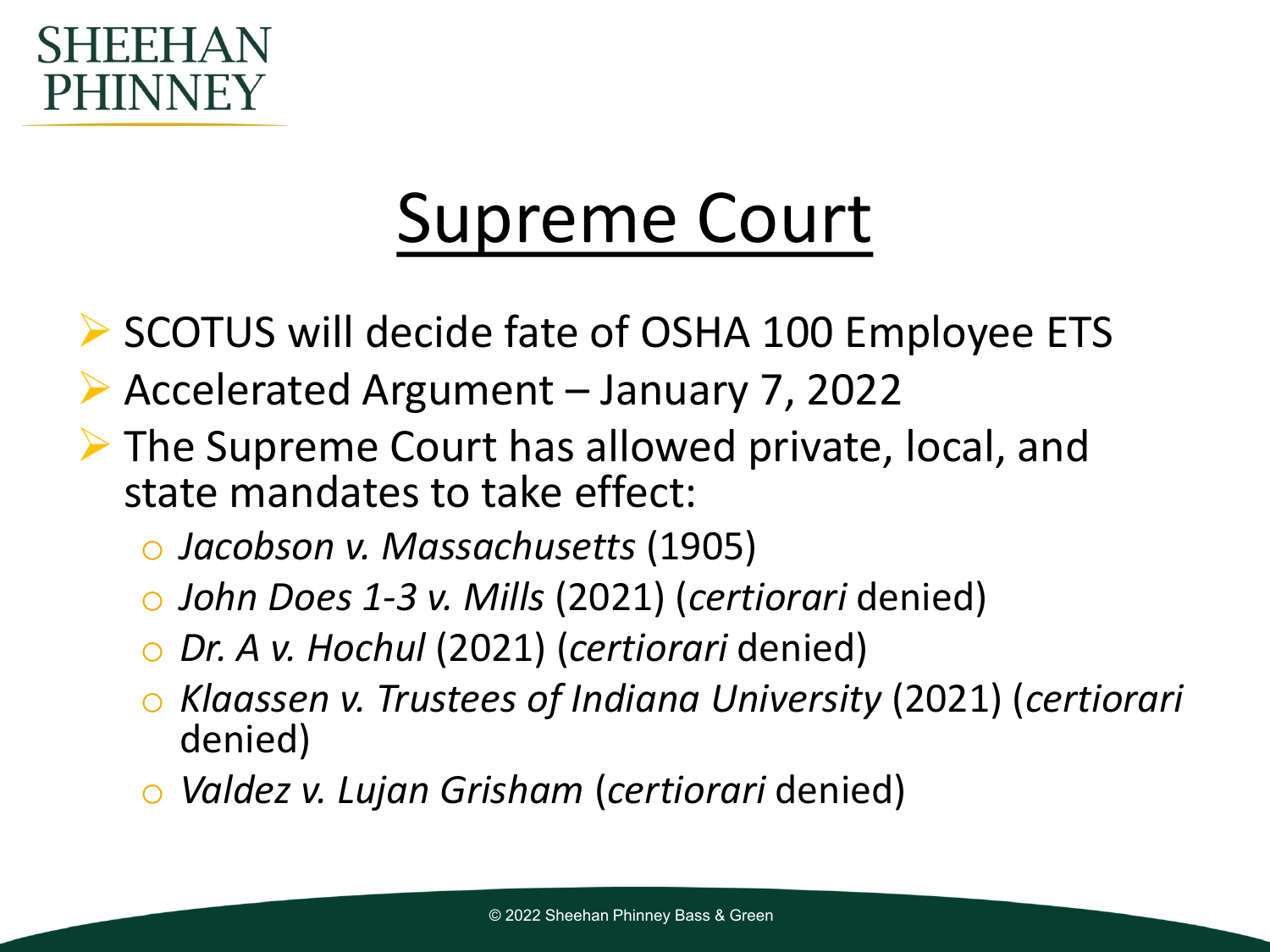#### SHFFH PHINNEY

### Supreme Court

- ▶ SCOTUS will decide fate of OSHA 100 Employee ETS
- Accelerated Argument January 7, 2022
- ▶ The Supreme Court has allowed private, local, and state mandates to take effect:
	- o *Jacobson v. Massachusetts* (1905)
	- o *John Does 1-3 v. Mills* (2021) (*certiorari* denied)
	- o *Dr. A v. Hochul* (2021) (*certiorari* denied)
	- o *Klaassen v. Trustees of Indiana University* (2021) (*certiorari*  denied)
	- o *Valdez v. Lujan Grisham* (*certiorari* denied)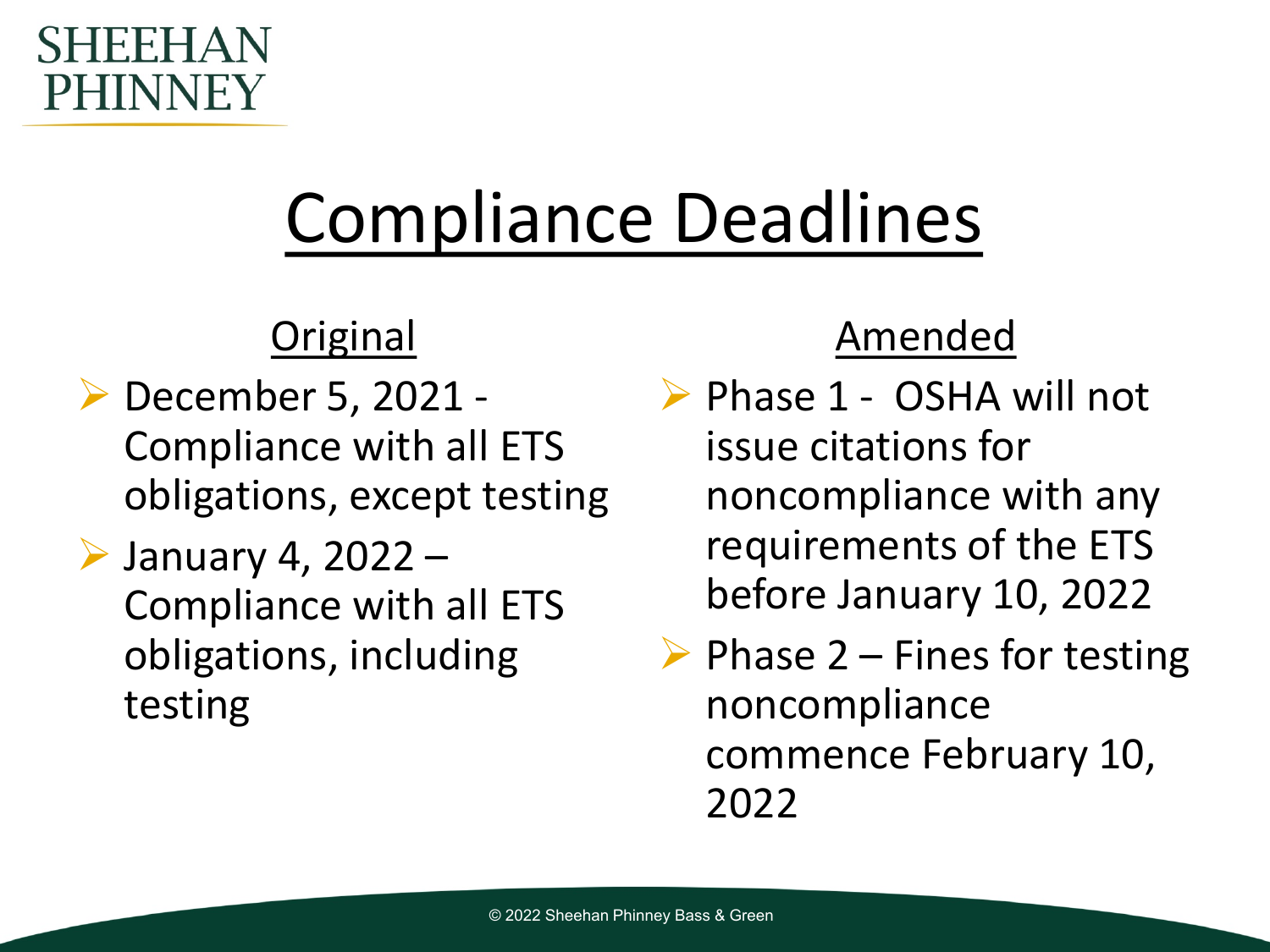#### SHEEHA **PHINNEY**

## Compliance Deadlines

#### **Original**

- December 5, 2021 Compliance with all ETS obligations, except testing
- $\triangleright$  January 4, 2022 Compliance with all ETS obligations, including testing

#### Amended

- ▶ Phase 1 OSHA will not issue citations for noncompliance with any requirements of the ETS before January 10, 2022
- $\triangleright$  Phase 2 Fines for testing noncompliance commence February 10, 2022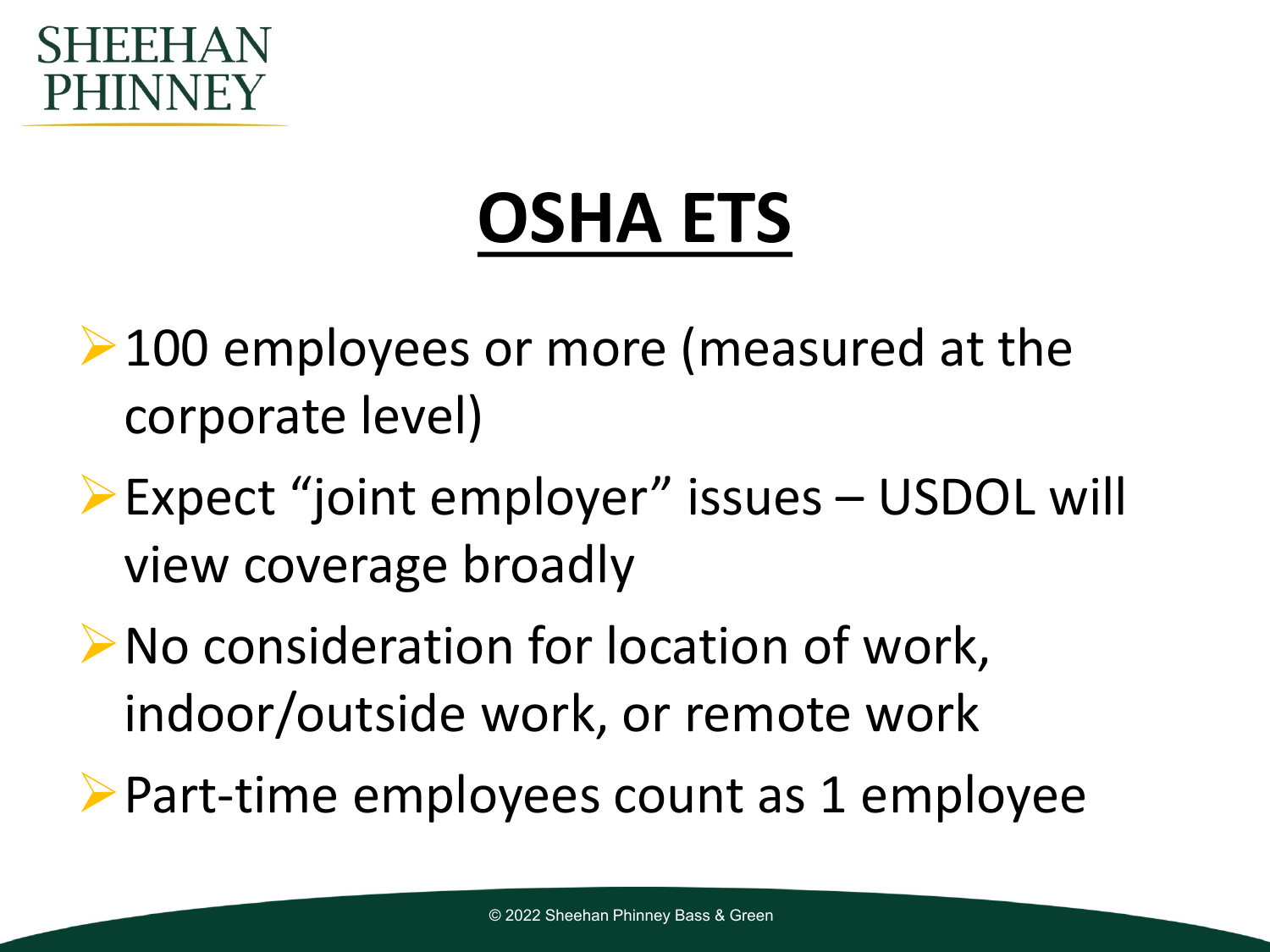#### FFI PHINNEY

### **OSHA ETS**

- **► 100 employees or more (measured at the** corporate level)
- Expect "joint employer" issues USDOL will view coverage broadly
- ▶ No consideration for location of work, indoor/outside work, or remote work
- Part-time employees count as 1 employee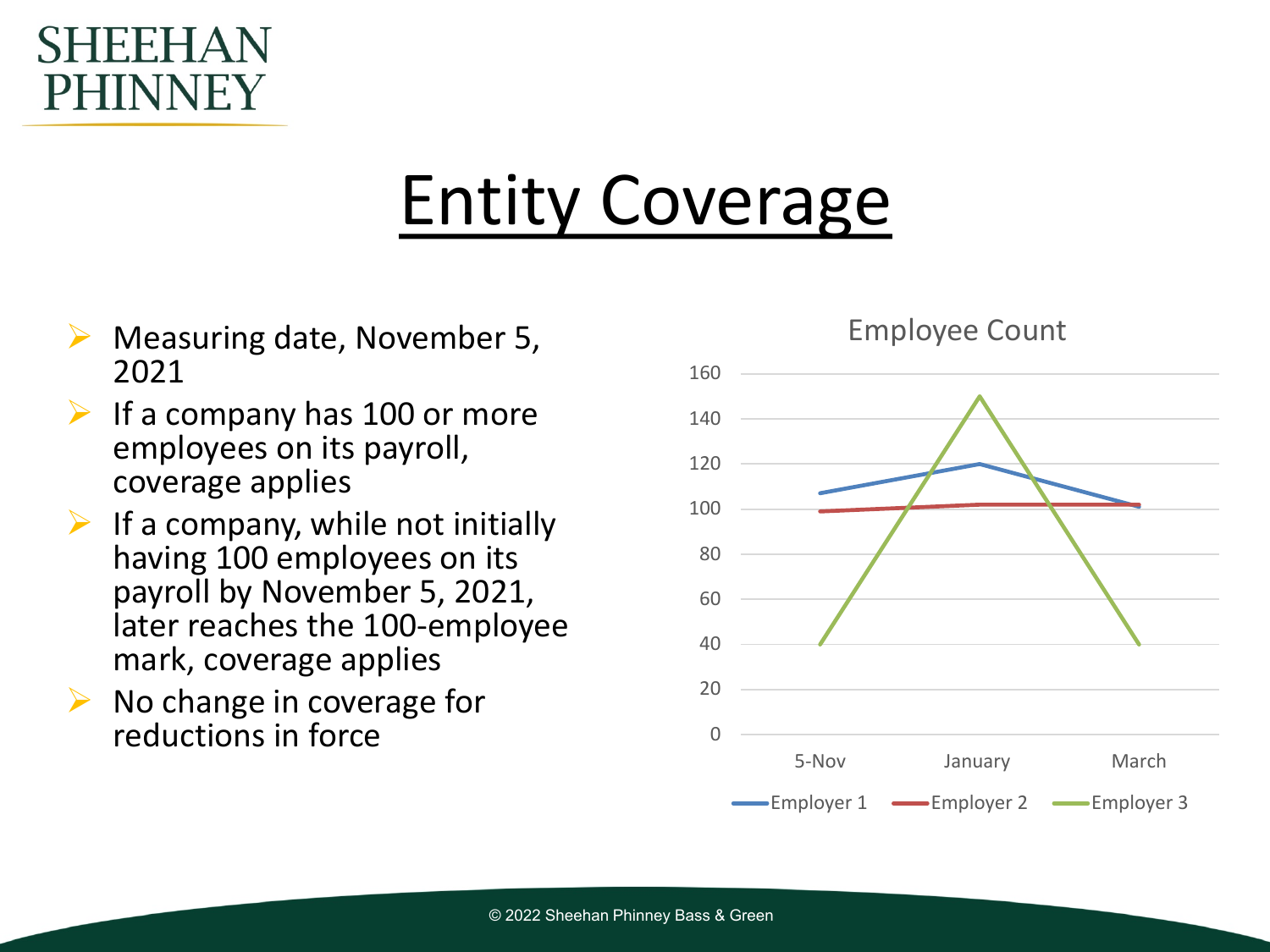#### H. HNNFY

### Entity Coverage

- Measuring date, November 5, 2021
- If a company has 100 or more employees on its payroll, coverage applies
- $\triangleright$  If a company, while not initially having 100 employees on its payroll by November 5, 2021, later reaches the 100-employee mark, coverage applies
- No change in coverage for reductions in force only a control of the control of  $\sim$

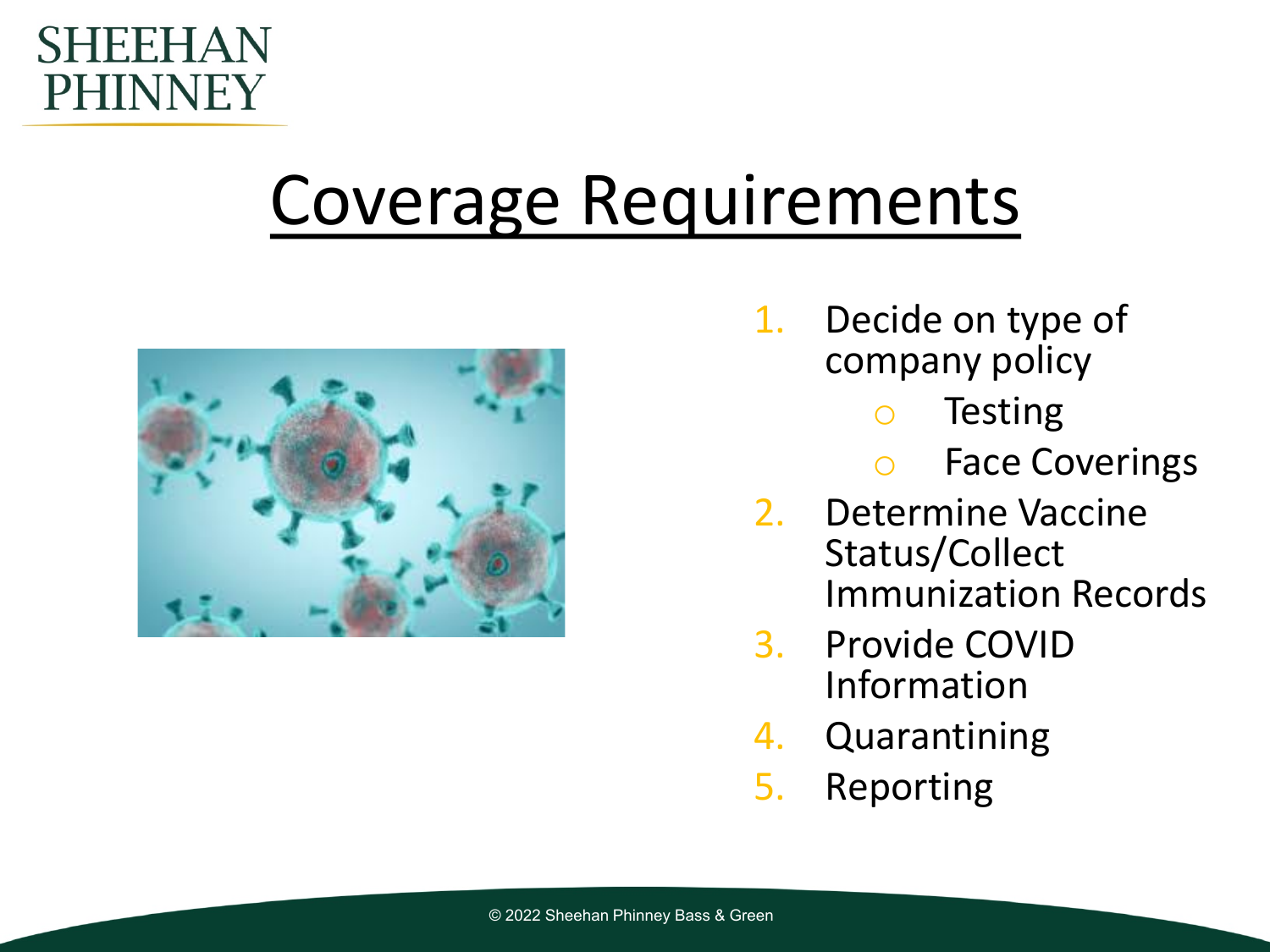#### SHEEHAN **PHINNEY**

### Coverage Requirements



- 1. Decide on type of company policy
	- o Testing
	- o Face Coverings
- 2. Determine Vaccine Status/Collect Immunization Records
- 3. Provide COVID Information
- 4. Quarantining
- 5. Reporting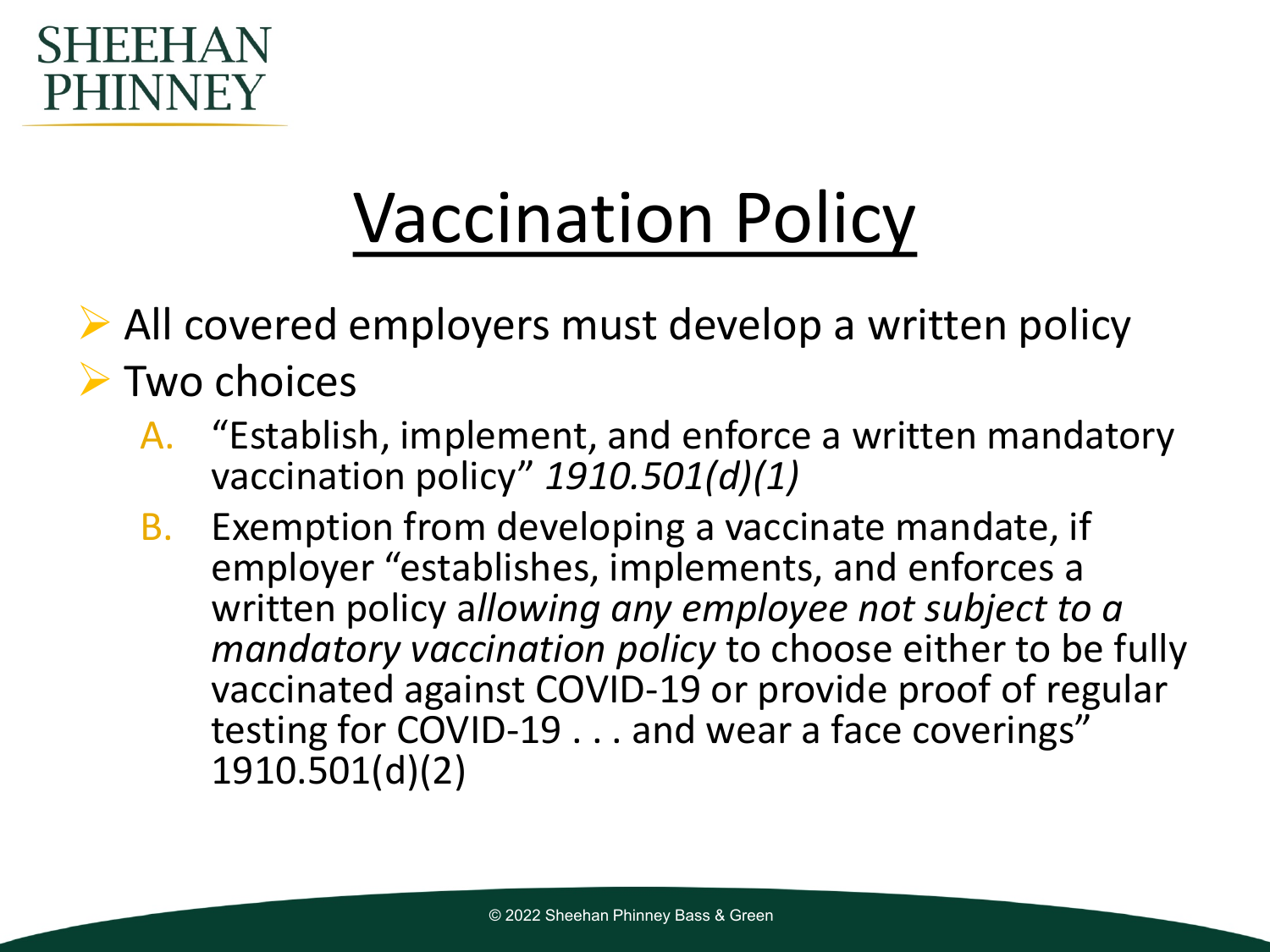

### Vaccination Policy

 $\triangleright$  All covered employers must develop a written policy

#### $\triangleright$  Two choices

- A. "Establish, implement, and enforce a written mandatory vaccination policy" *1910.501(d)(1)*
- B. Exemption from developing a vaccinate mandate, if employer "establishes, implements, and enforces a written policy a*llowing any employee not subject to a mandatory vaccination policy* to choose either to be fully vaccinated against COVID-19 or provide proof of regular testing for COVID-19 . . . and wear a face coverings" 1910.501(d)(2)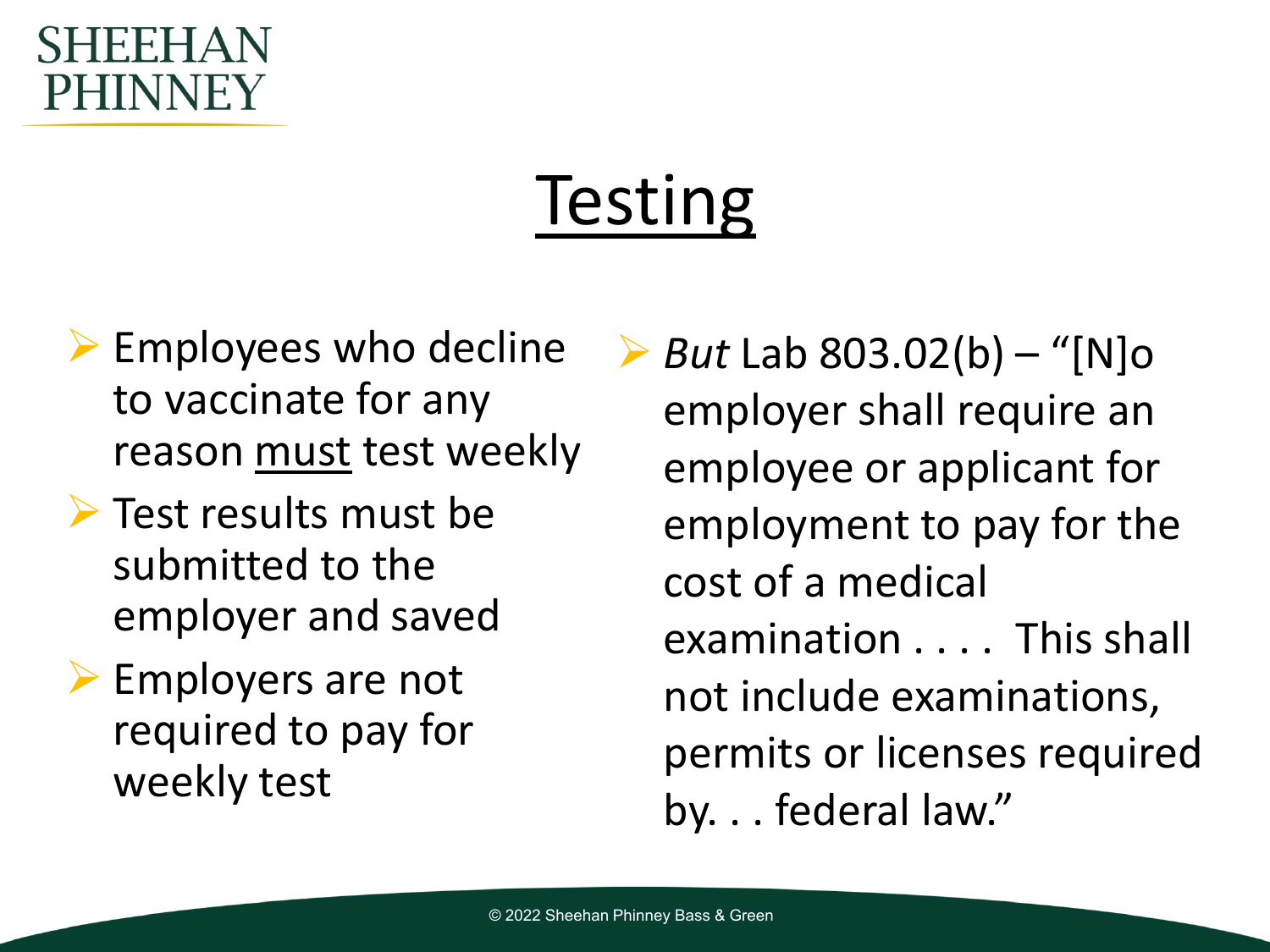#### SHEFI PHINNEY

## **Testing**

- $\triangleright$  Employees who decline to vaccinate for any reason must test weekly
- $\triangleright$  Test results must be submitted to the employer and saved
- Employers are not required to pay for weekly test

 *But* Lab 803.02(b) – "[N]o employer shall require an employee or applicant for employment to pay for the cost of a medical examination . . . . This shall not include examinations, permits or licenses required by. . . federal law."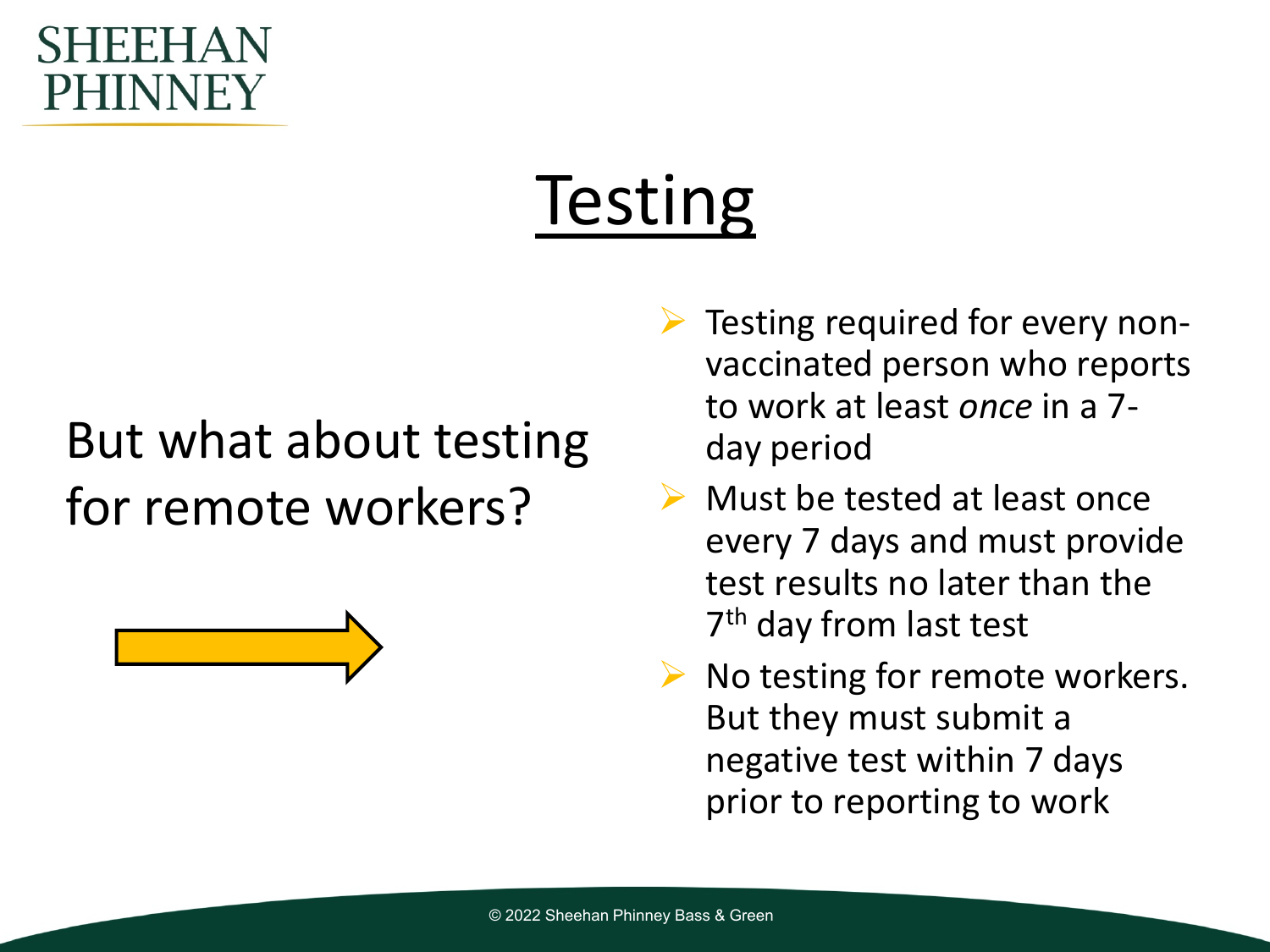#### SHEFI PHINNEY

## **Testing**

### But what about testing for remote workers?



- $\triangleright$  Testing required for every nonvaccinated person who reports to work at least *once* in a 7 day period
- $\triangleright$  Must be tested at least once every 7 days and must provide test results no later than the 7<sup>th</sup> day from last test
- $\triangleright$  No testing for remote workers. But they must submit a negative test within 7 days prior to reporting to work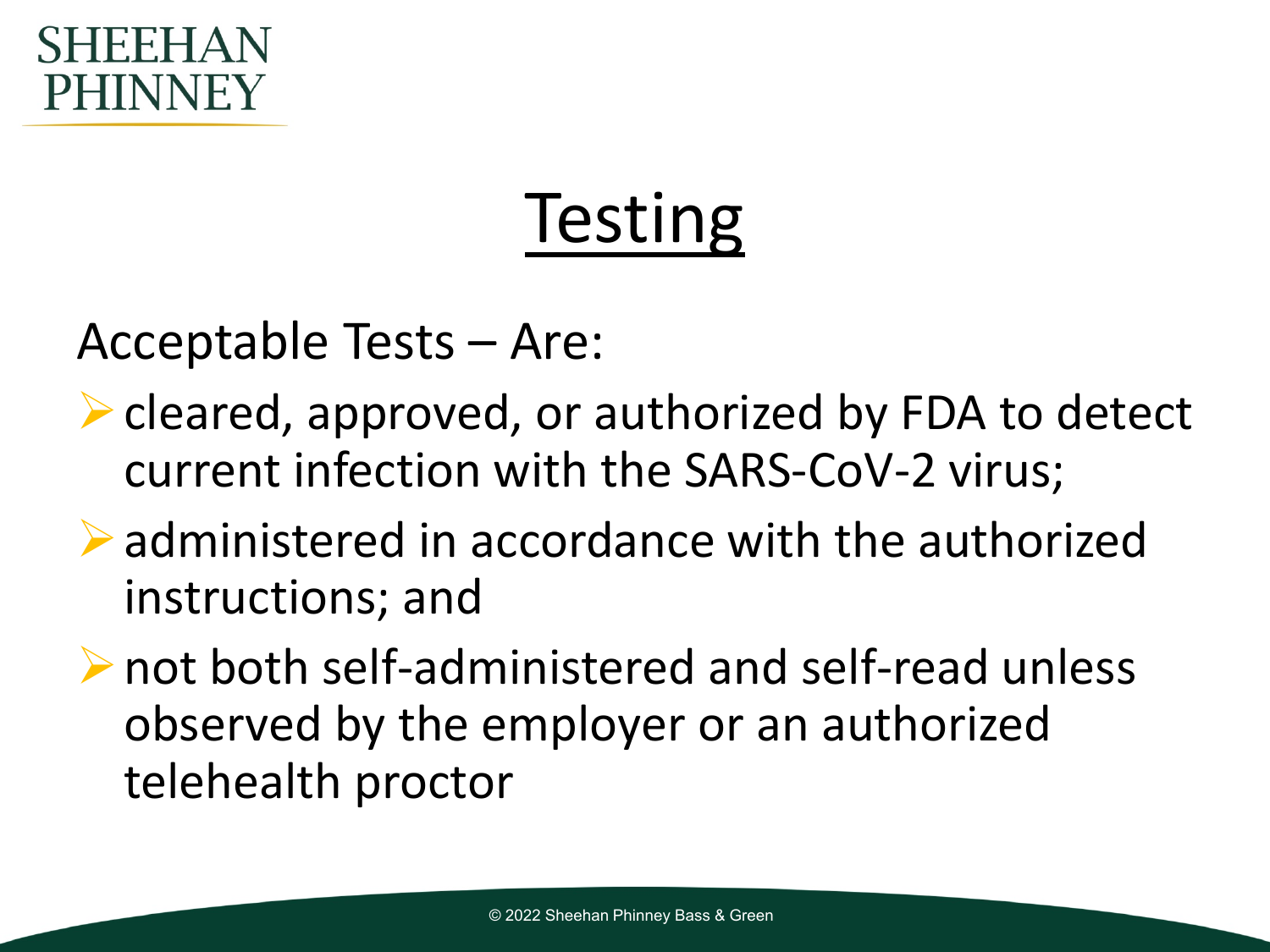#### FF PHINNEY

## **Testing**

Acceptable Tests – Are:

- **► cleared, approved, or authorized by FDA to detect** current infection with the SARS-CoV-2 virus;
- administered in accordance with the authorized instructions; and
- not both self-administered and self-read unless observed by the employer or an authorized telehealth proctor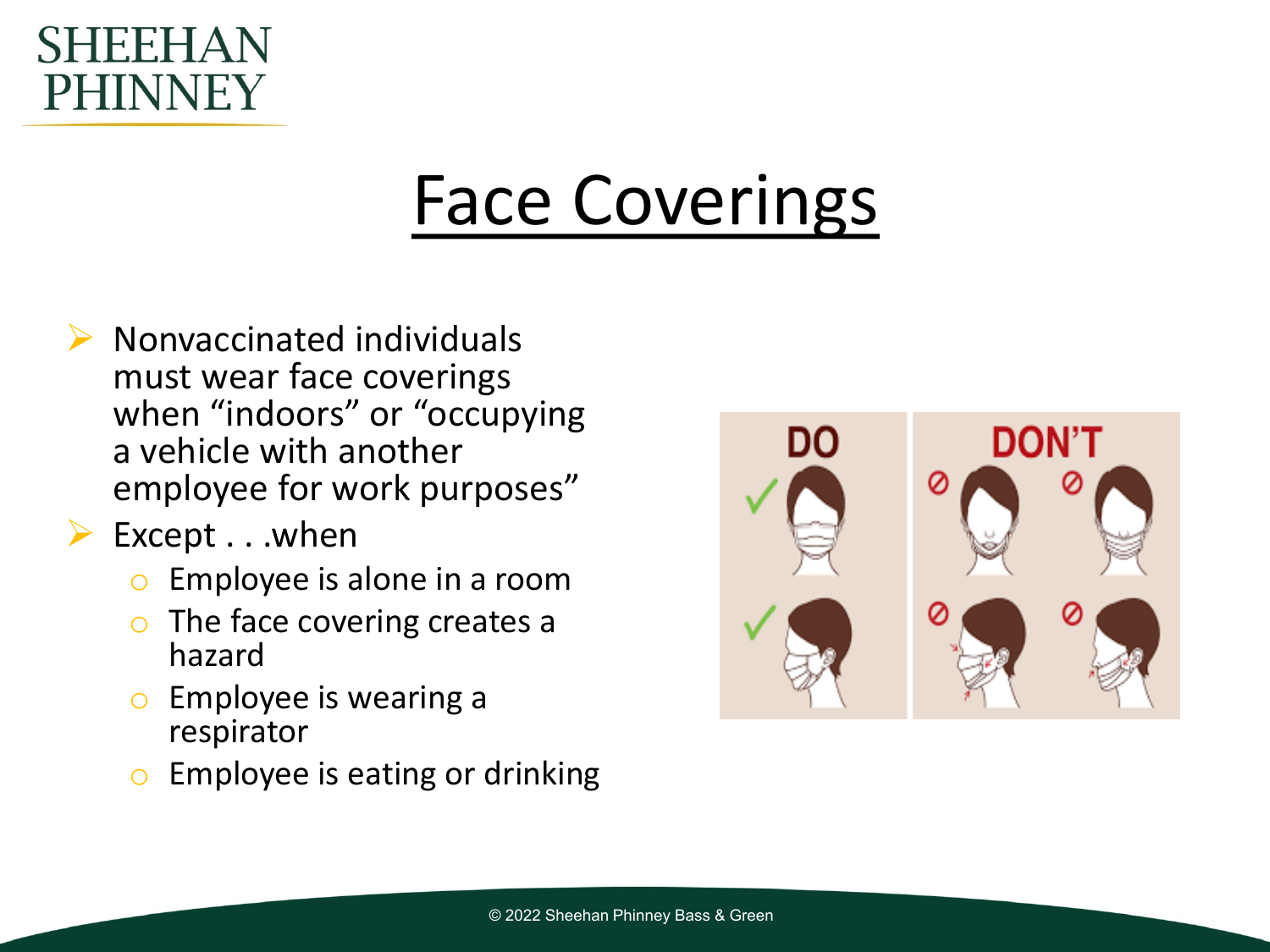#### SHEEHAN PHINNEY

### Face Coverings

- $\triangleright$  Nonvaccinated individuals must wear face coverings when "indoors" or "occupying a vehicle with another employee for work purposes"
- $\triangleright$  Except . . .when
	- o Employee is alone in a room
	- $\circ$  The face covering creates a hazard
	- $\circ$  Employee is wearing a respirator
	- $\circ$  Employee is eating or drinking

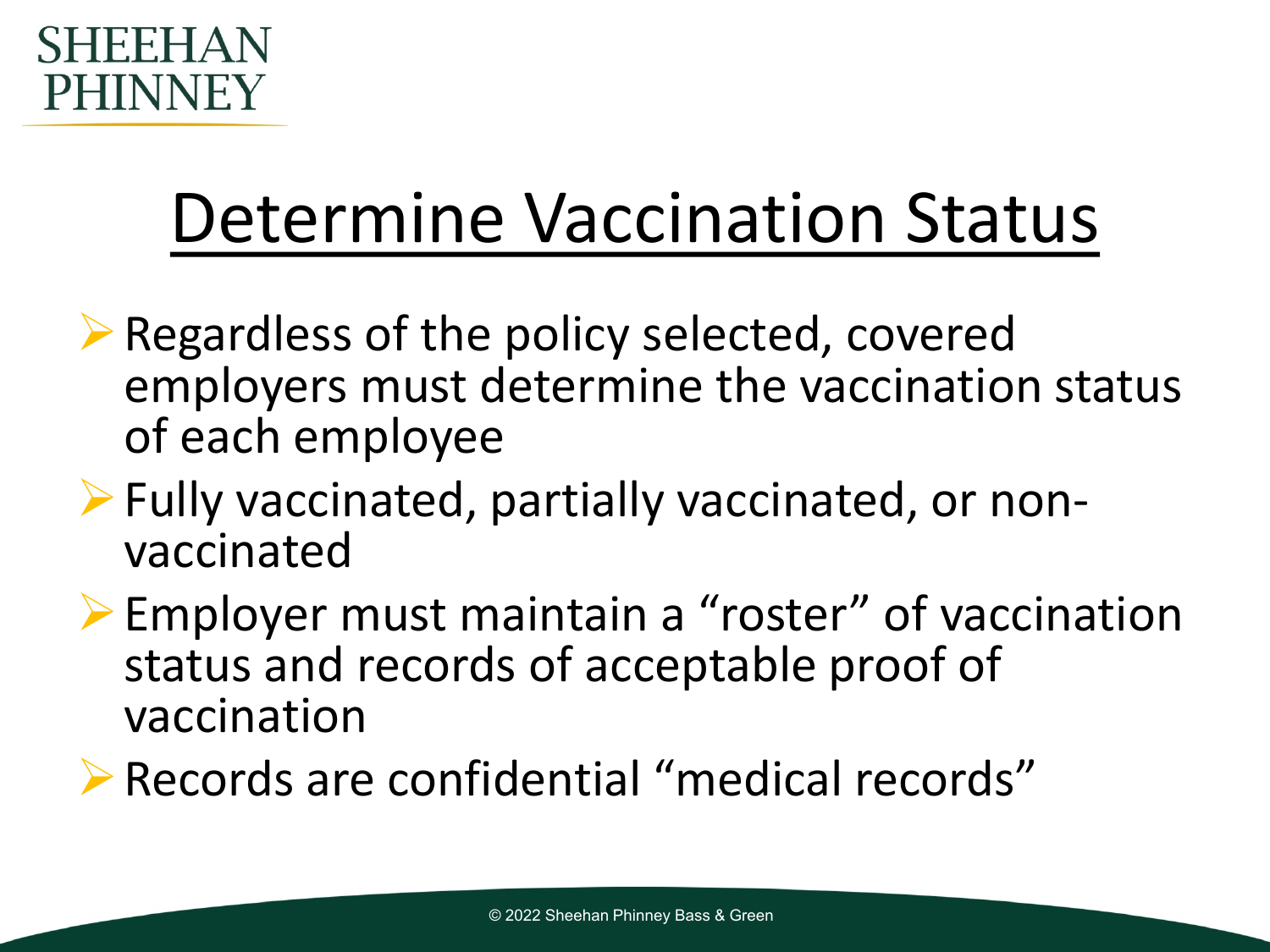

### Determine Vaccination Status

- Regardless of the policy selected, covered employers must determine the vaccination status of each employee
- Fully vaccinated, partially vaccinated, or non- vaccinated
- Employer must maintain a "roster" of vaccination status and records of acceptable proof of vaccination
- Records are confidential "medical records"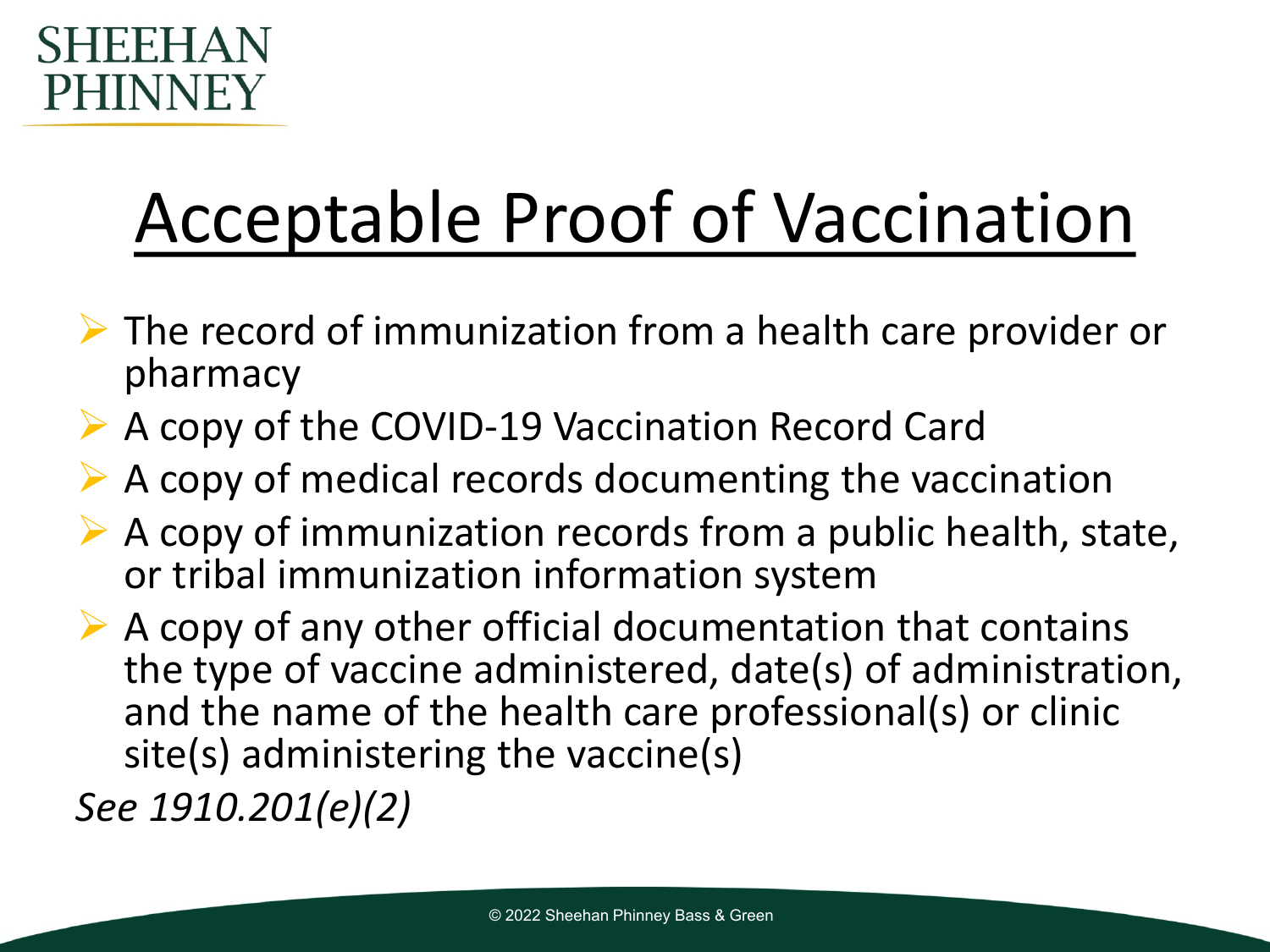

### Acceptable Proof of Vaccination

- $\triangleright$  The record of immunization from a health care provider or pharmacy
- A copy of the COVID-19 Vaccination Record Card
- $\triangleright$  A copy of medical records documenting the vaccination
- $\triangleright$  A copy of immunization records from a public health, state, or tribal immunization information system
- $\triangleright$  A copy of any other official documentation that contains the type of vaccine administered, date(s) of administration, and the name of the health care professional(s) or clinic site(s) administering the vaccine(s)

*See 1910.201(e)(2)*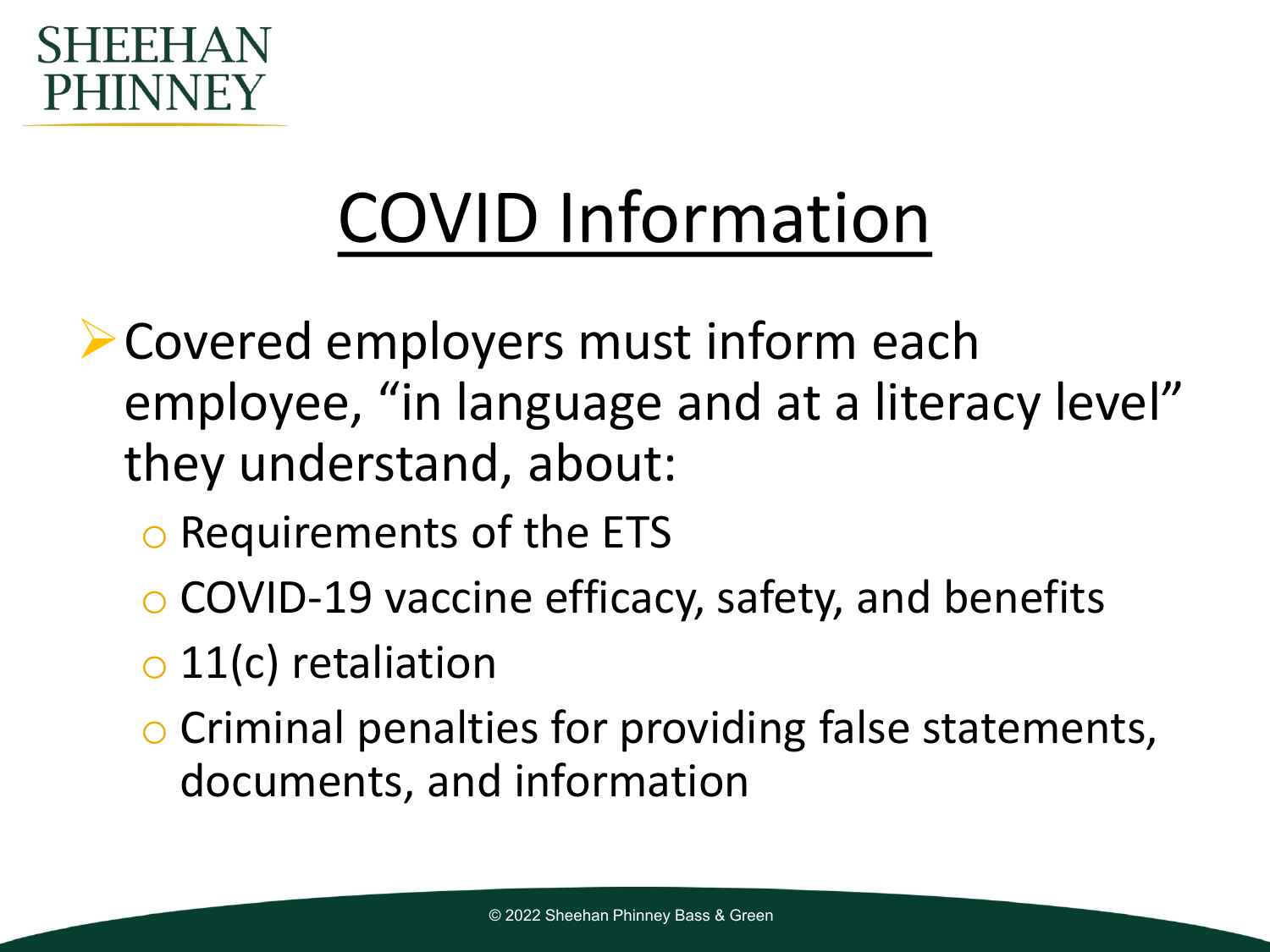

### COVID Information

- **Exercial employers must inform each** employee, "in language and at a literacy level" they understand, about:
	- o Requirements of the ETS
	- o COVID-19 vaccine efficacy, safety, and benefits
	- $\circ$  11(c) retaliation
	- o Criminal penalties for providing false statements, documents, and information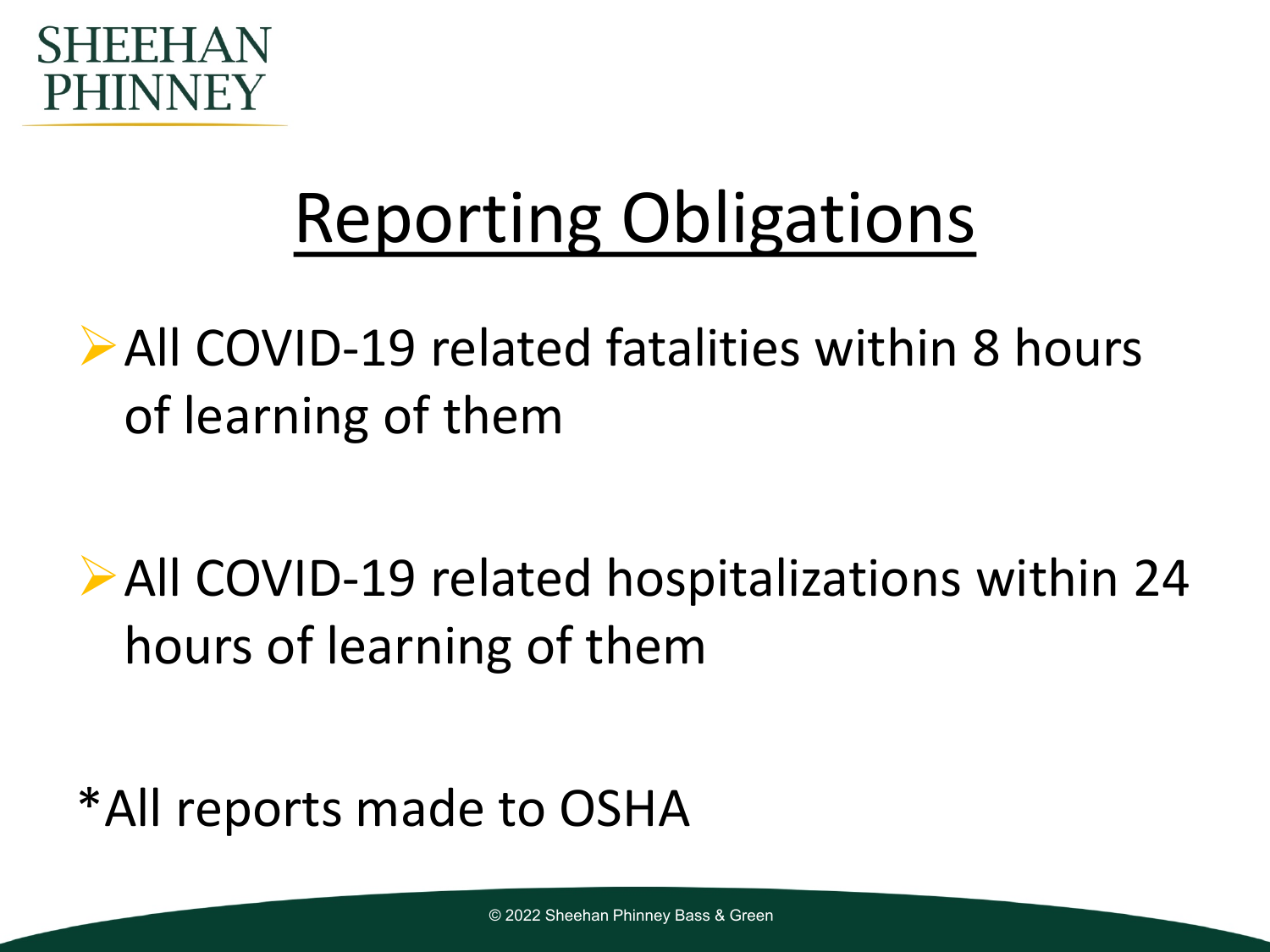

### Reporting Obligations

All COVID-19 related fatalities within 8 hours of learning of them

All COVID-19 related hospitalizations within 24 hours of learning of them

\*All reports made to OSHA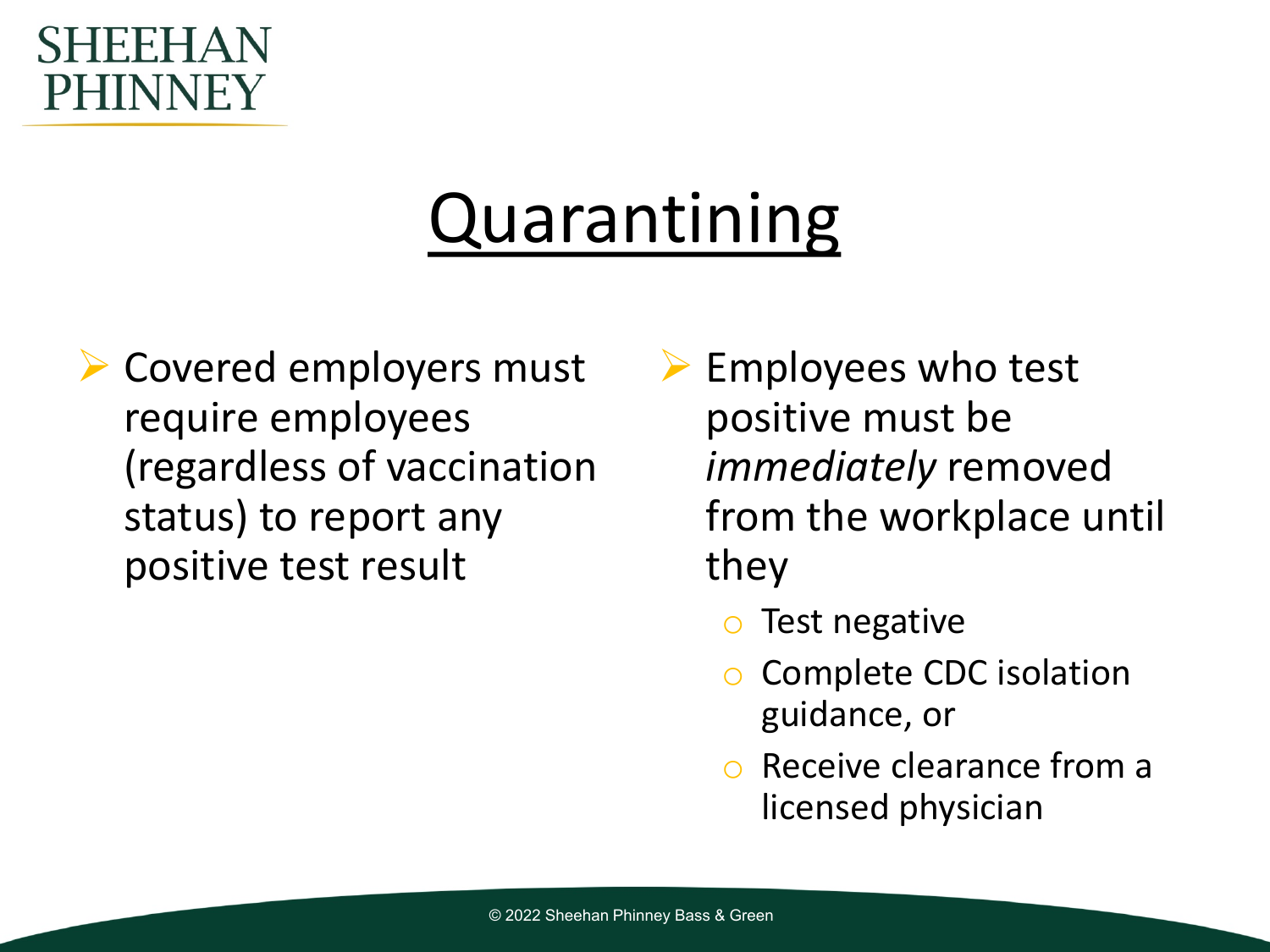#### SHEEHA **PHINNEY**

### Quarantining

- **► Covered employers must** require employees (regardless of vaccination status) to report any positive test result
- $\triangleright$  Employees who test positive must be *immediately* removed from the workplace until they
	- Test negative
	- Complete CDC isolation guidance, or
	- Receive clearance from a licensed physician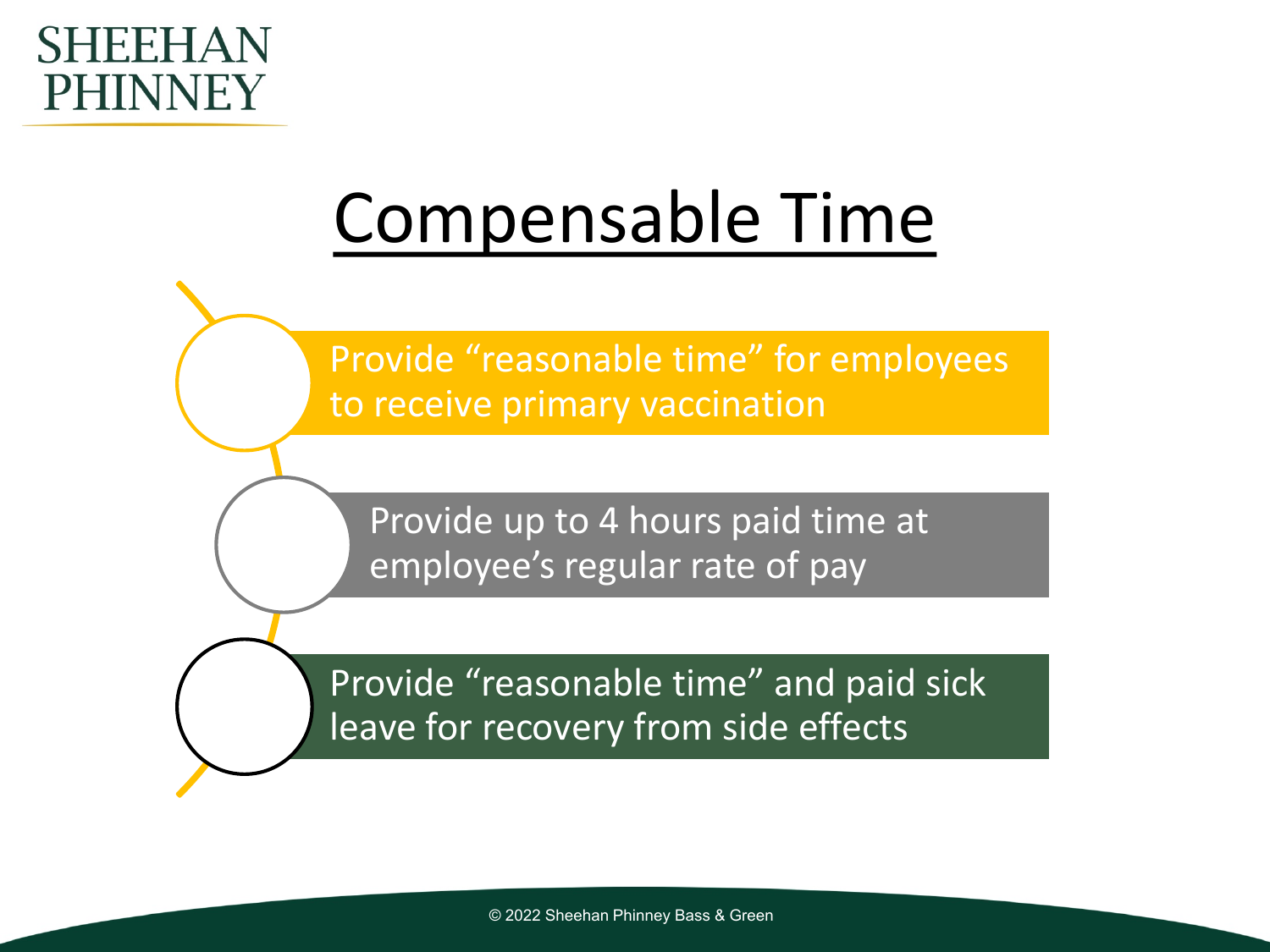

### Compensable Time

Provide "reasonable time" for employees to receive primary vaccination

Provide up to 4 hours paid time at employee's regular rate of pay

Provide "reasonable time" and paid sick leave for recovery from side effects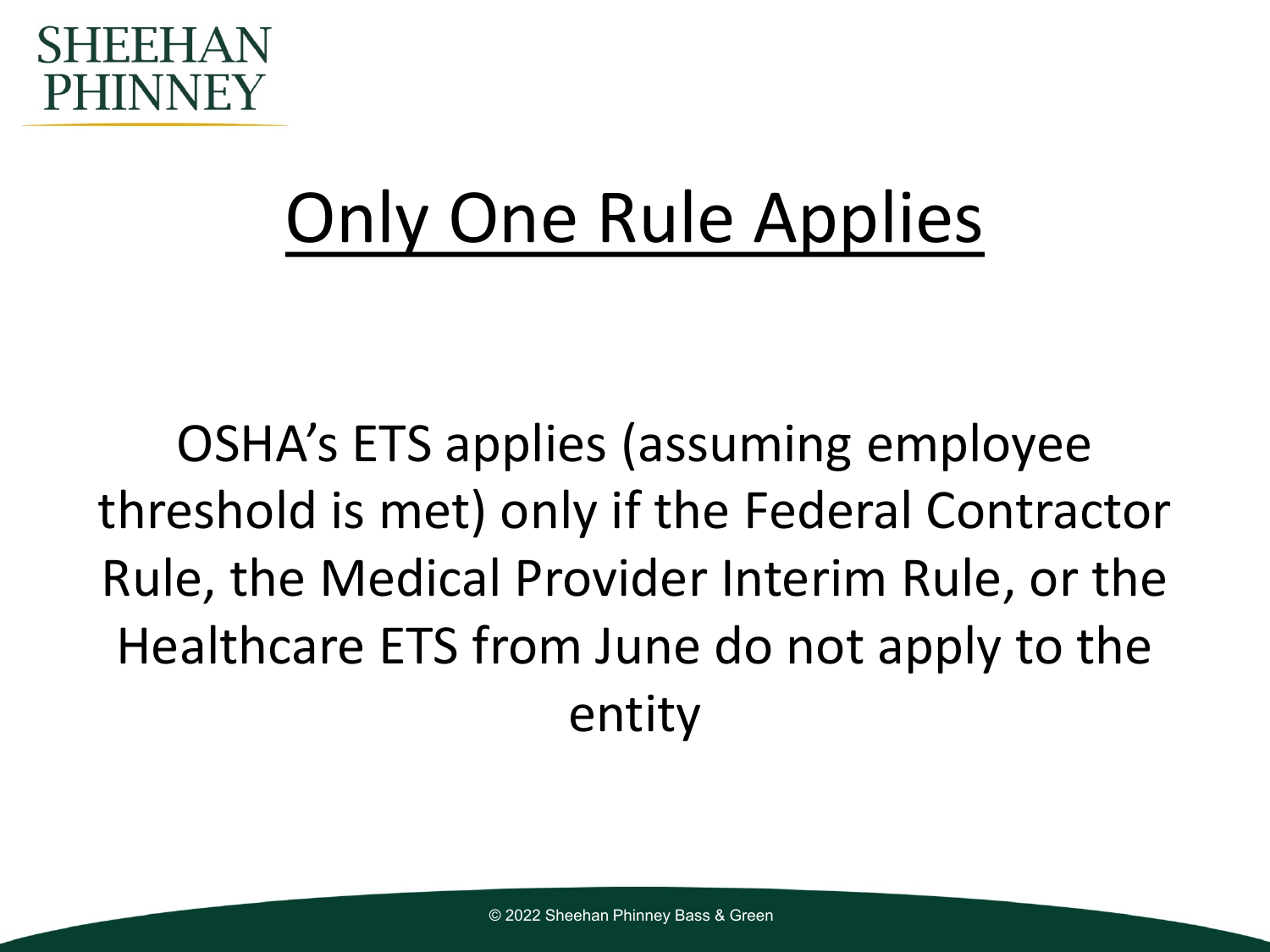

### Only One Rule Applies

OSHA's ETS applies (assuming employee threshold is met) only if the Federal Contractor Rule, the Medical Provider Interim Rule, or the Healthcare ETS from June do not apply to the entity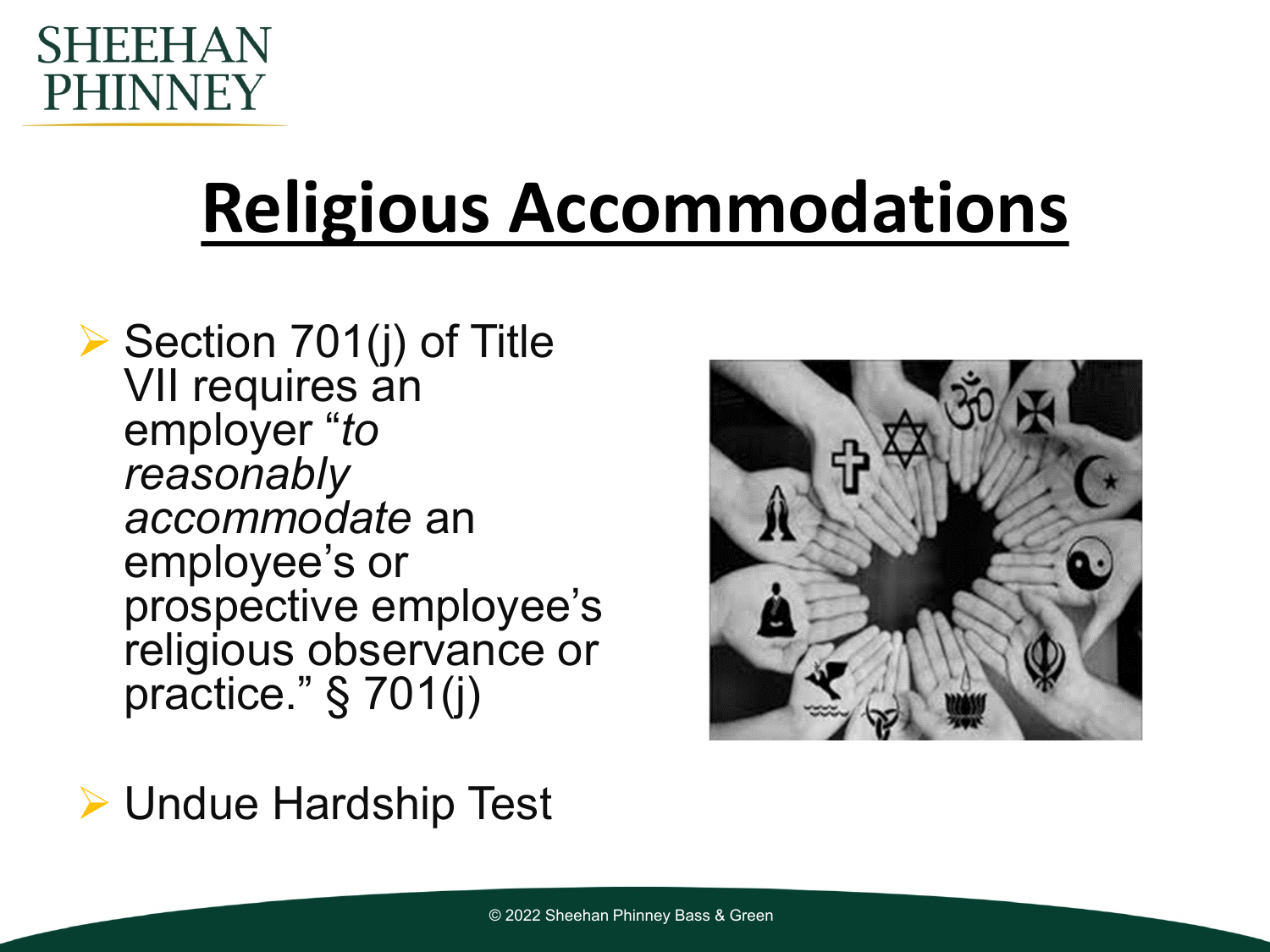

## **Religious Accommodations**

 $\triangleright$  Section 701(j) of Title VII requires an employer "*to reasonably accommodate* an employee's or prospective employee's religious observance or practice." § 701(j)

Undue Hardship Test

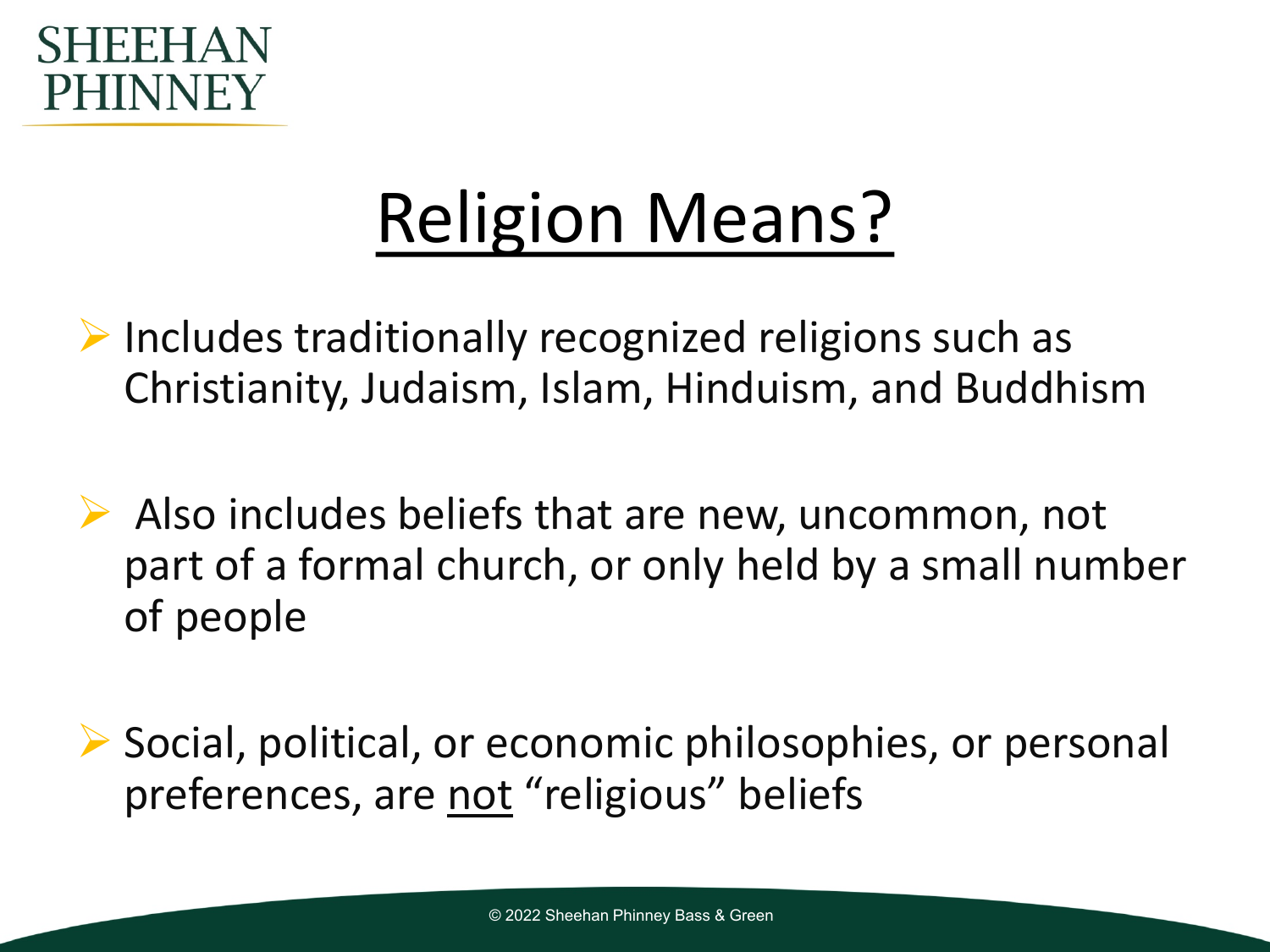

### Religion Means?

 $\triangleright$  Includes traditionally recognized religions such as Christianity, Judaism, Islam, Hinduism, and Buddhism

- $\triangleright$  Also includes beliefs that are new, uncommon, not part of a formal church, or only held by a small number of people
- $\triangleright$  Social, political, or economic philosophies, or personal preferences, are not "religious" beliefs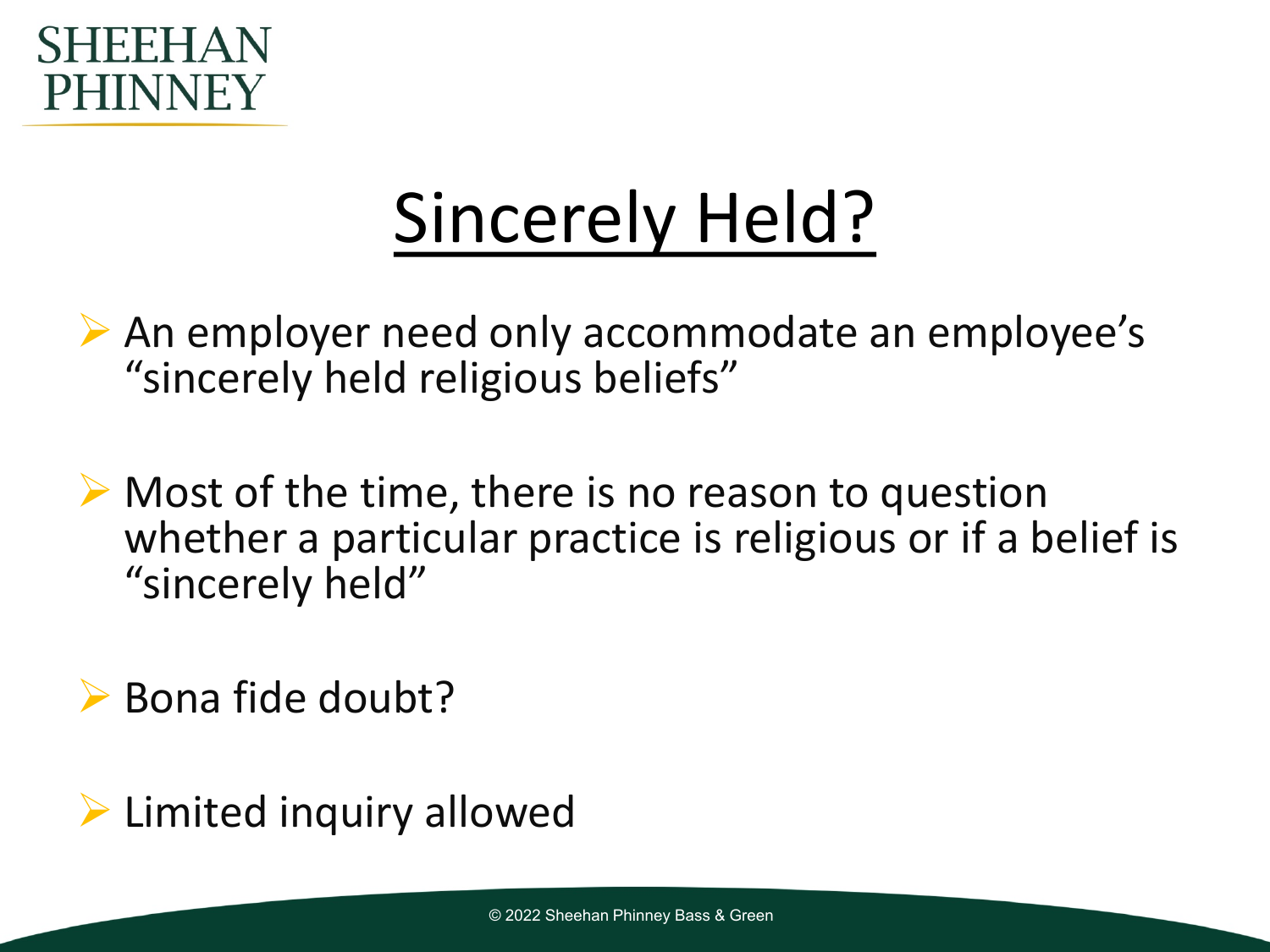

### Sincerely Held?

 $\triangleright$  An employer need only accommodate an employee's "sincerely held religious beliefs"

 $\triangleright$  Most of the time, there is no reason to question whether a particular practice is religious or if a belief is "sincerely held"

 $\triangleright$  Bona fide doubt?

 $\triangleright$  Limited inquiry allowed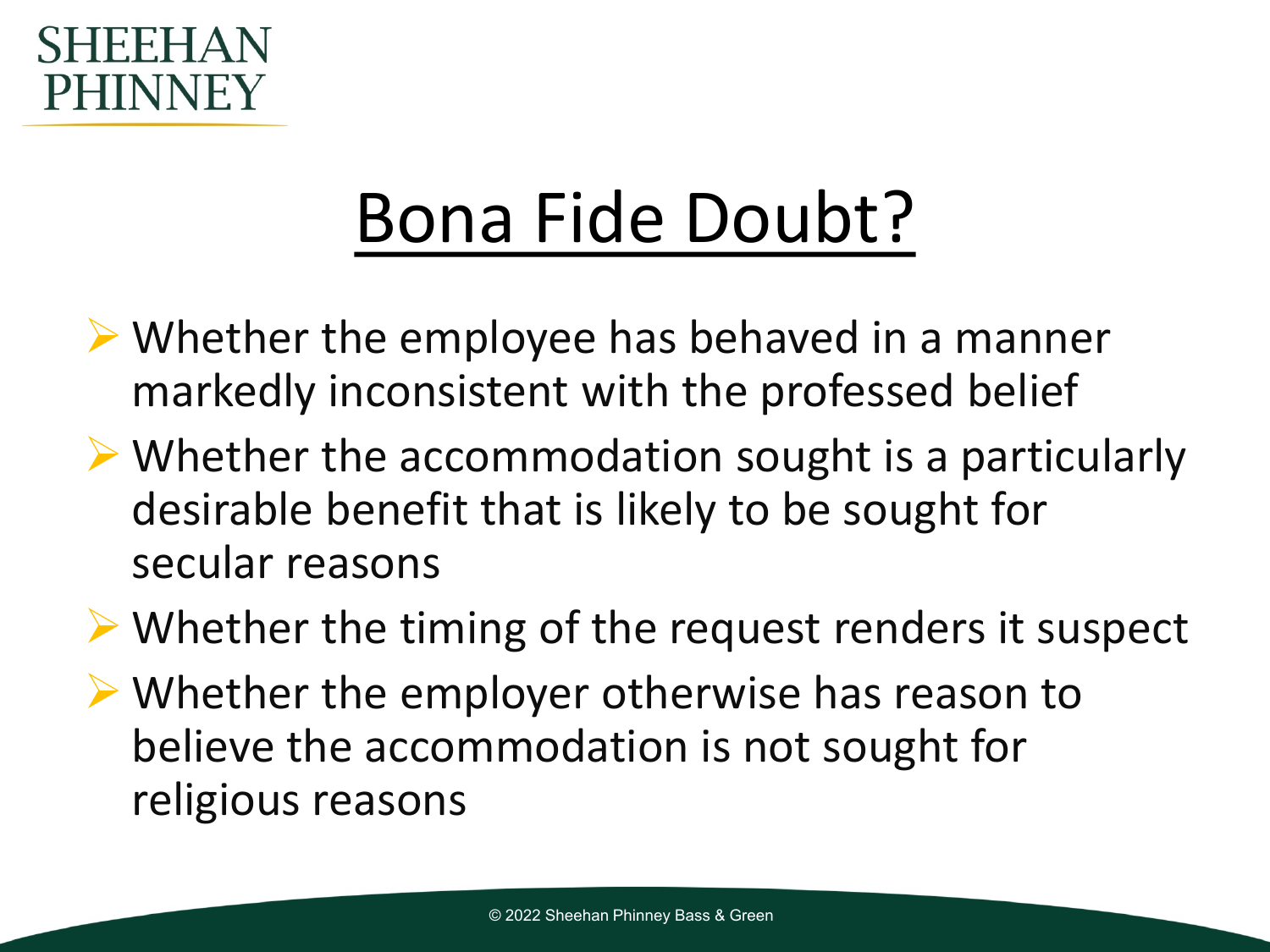#### FFI PHINNEY

### Bona Fide Doubt?

- $\triangleright$  Whether the employee has behaved in a manner markedly inconsistent with the professed belief
- $\triangleright$  Whether the accommodation sought is a particularly desirable benefit that is likely to be sought for secular reasons
- Whether the timing of the request renders it suspect
- Whether the employer otherwise has reason to believe the accommodation is not sought for religious reasons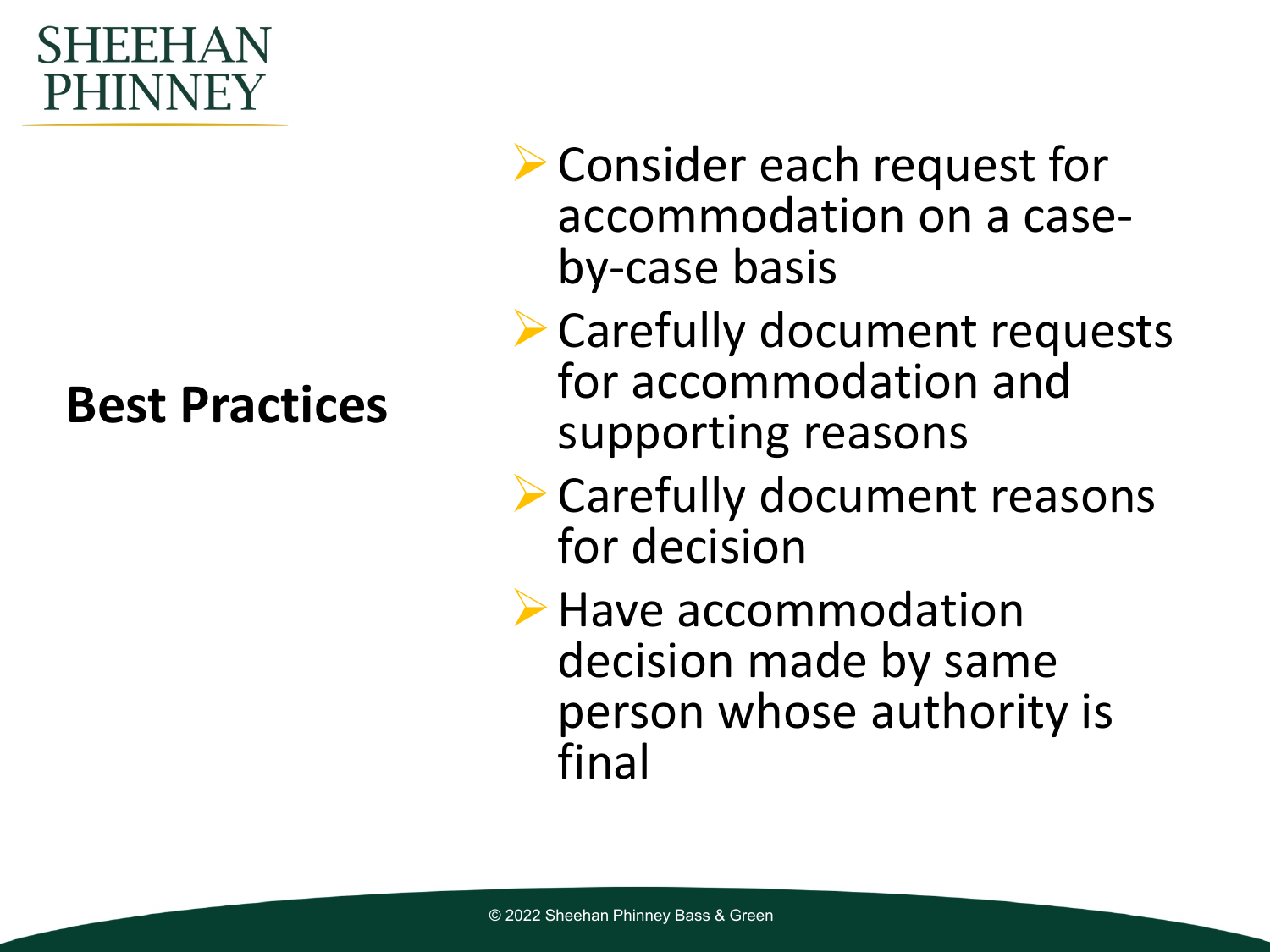#### ┨┝┝┝┨△ PHINNEY

#### **Best Practices**

- **▶ Consider each request for** accommodation on a case- by-case basis
- Carefully document requests for accommodation and supporting reasons
- Carefully document reasons for decision
- **▶ Have accommodation** decision made by same person whose authority is final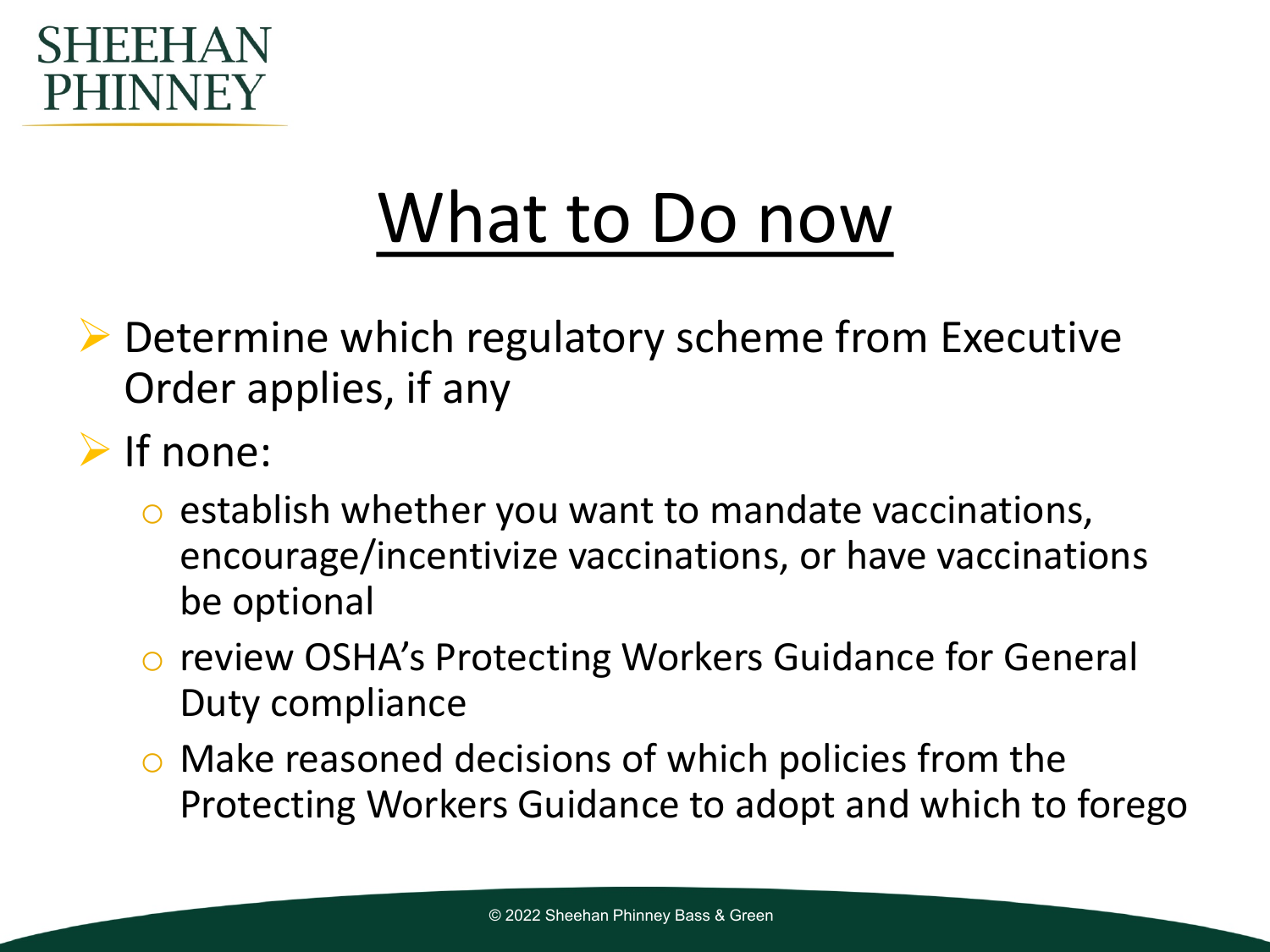

### What to Do now

- ▶ Determine which regulatory scheme from Executive Order applies, if any
- $\triangleright$  If none:
	- establish whether you want to mandate vaccinations, encourage/incentivize vaccinations, or have vaccinations be optional
	- o review OSHA's Protecting Workers Guidance for General Duty compliance
	- o Make reasoned decisions of which policies from the Protecting Workers Guidance to adopt and which to forego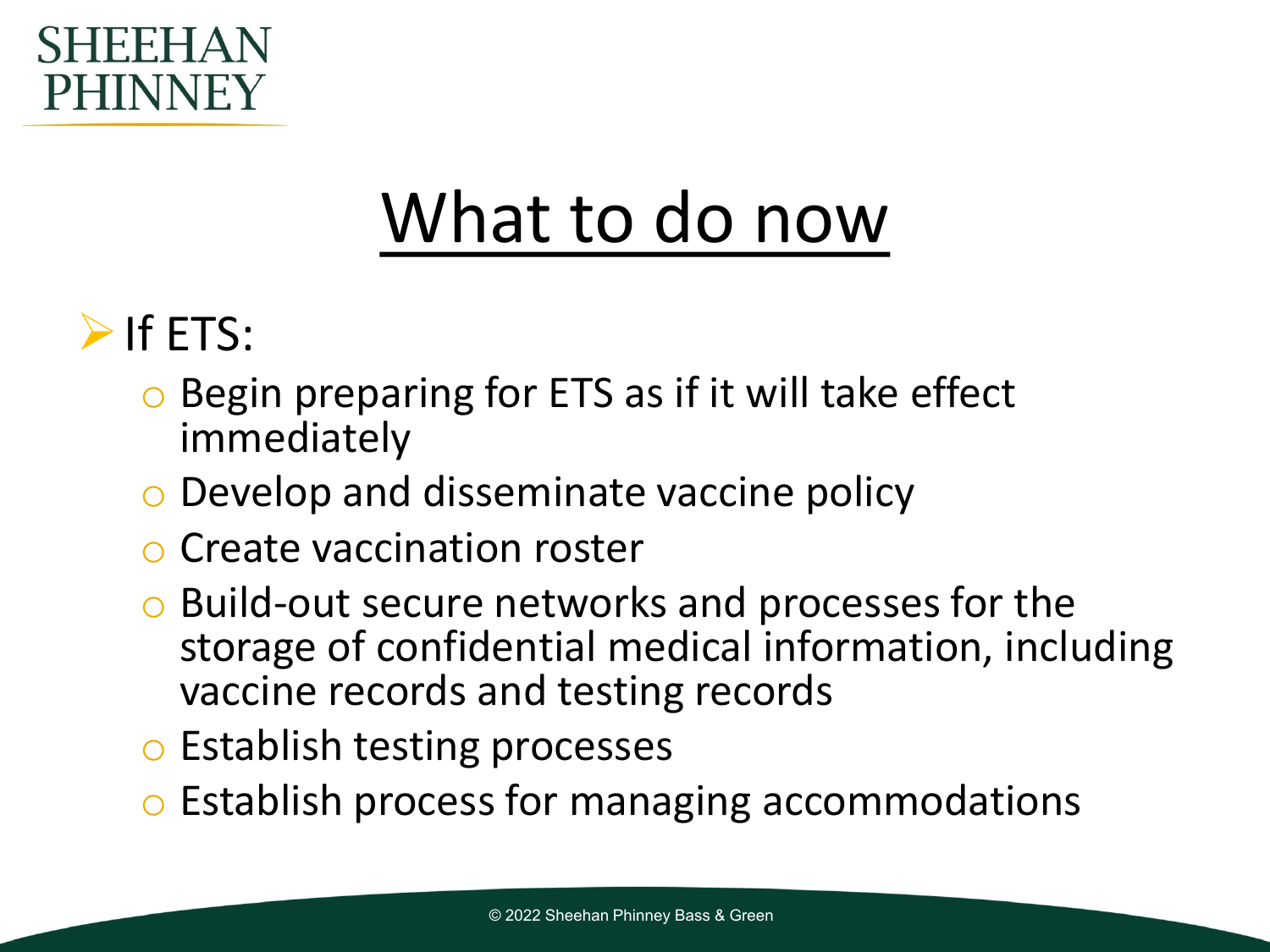

### What to do now

### $\triangleright$  If ETS:

- o Begin preparing for ETS as if it will take effect immediately
- o Develop and disseminate vaccine policy
- o Create vaccination roster
- o Build-out secure networks and processes for the storage of confidential medical information, including vaccine records and testing records
- o Establish testing processes
- o Establish process for managing accommodations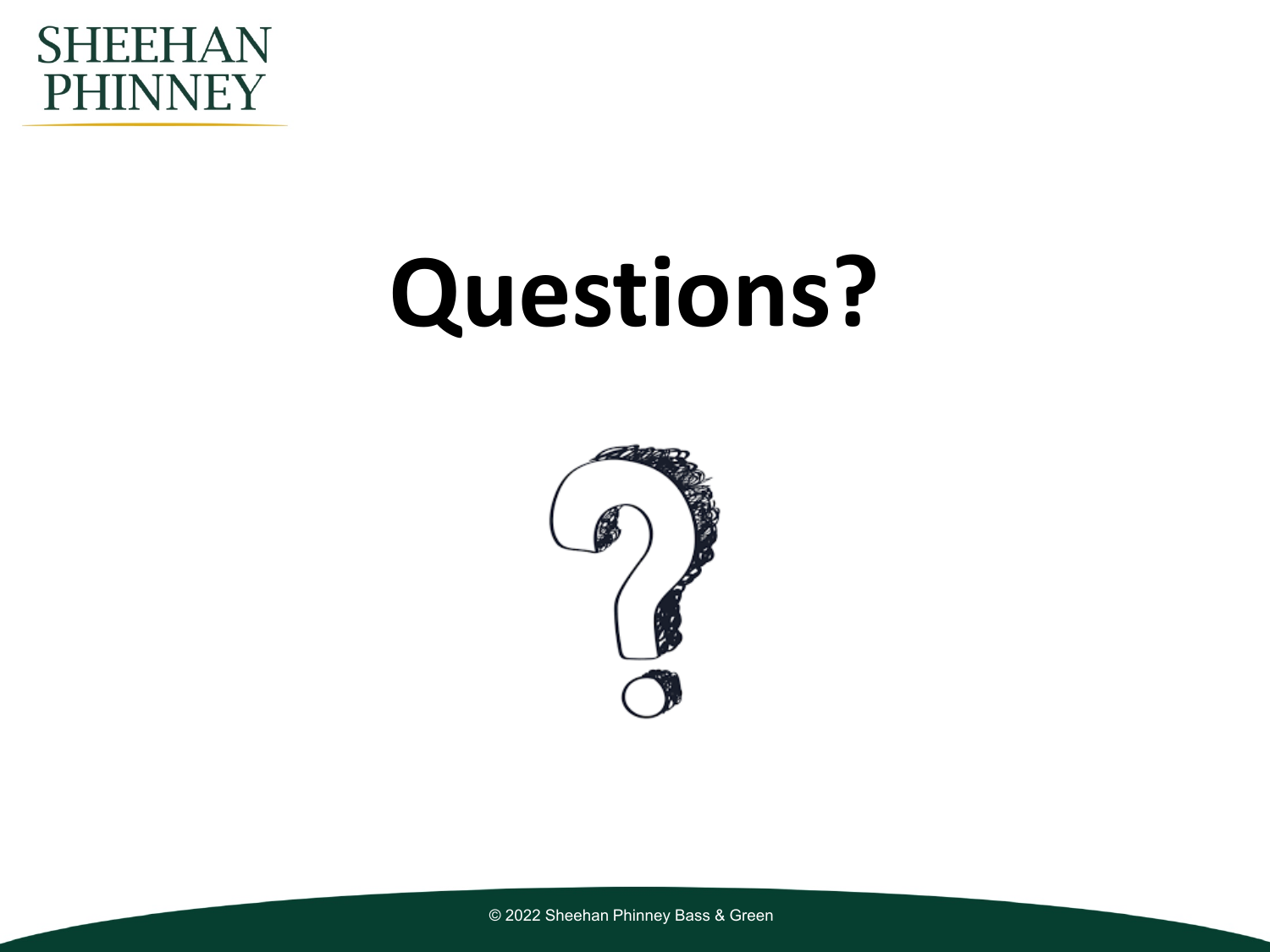

# **Questions?**



© 2022 Sheehan Phinney Bass & Green